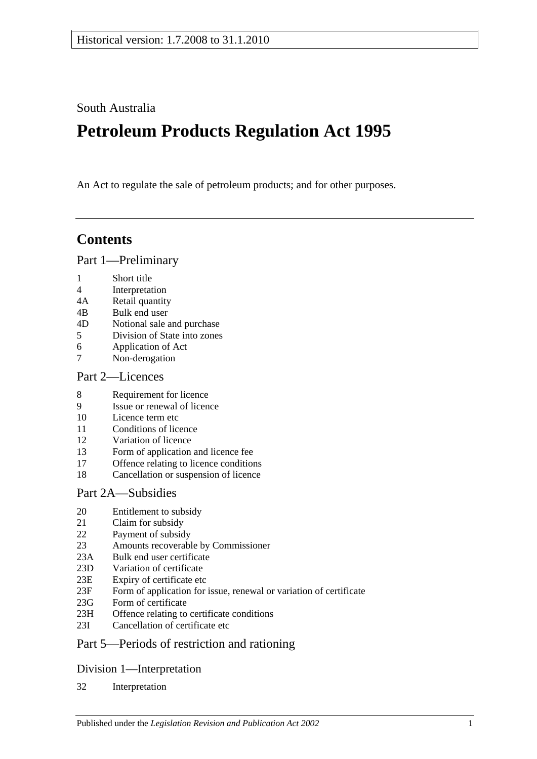South Australia

# **Petroleum Products Regulation Act 1995**

An Act to regulate the sale of petroleum products; and for other purposes.

## **Contents**

[Part 1—Preliminary](#page-2-0)

- 1 [Short title](#page-2-1)
- 4 [Interpretation](#page-2-2)
- 4A [Retail quantity](#page-4-0)
- 4B [Bulk end user](#page-4-1)
- 4D [Notional sale and purchase](#page-5-0)
- 5 [Division of State into zones](#page-5-1)
- 6 [Application of Act](#page-5-2)
- 7 [Non-derogation](#page-5-3)

#### [Part 2—Licences](#page-5-4)

- 8 [Requirement for licence](#page-5-5)
- 9 [Issue or renewal of licence](#page-5-6)
- 10 [Licence term etc](#page-6-0)
- 11 [Conditions of licence](#page-6-1)
- 12 [Variation of licence](#page-6-2)
- 13 [Form of application and licence fee](#page-7-0)
- 17 [Offence relating to licence conditions](#page-7-1)
- 18 [Cancellation or suspension of licence](#page-7-2)

#### [Part 2A—Subsidies](#page-7-3)

- 20 [Entitlement to subsidy](#page-7-4)<br>21 Claim for subsidy
- [Claim for subsidy](#page-8-0)
- 22 [Payment of subsidy](#page-8-1)
- 23 [Amounts recoverable by Commissioner](#page-8-2)
- 23A [Bulk end user certificate](#page-10-0)
- 23D [Variation of certificate](#page-10-1)
- 23E [Expiry of certificate etc](#page-10-2)
- 23F [Form of application for issue, renewal or variation of certificate](#page-10-3)
- 23G [Form of certificate](#page-11-0)
- 23H [Offence relating to certificate conditions](#page-11-1)
- 23I [Cancellation of certificate etc](#page-11-2)

## [Part 5—Periods of restriction and rationing](#page-11-3)

#### [Division 1—Interpretation](#page-11-4)

32 [Interpretation](#page-11-5)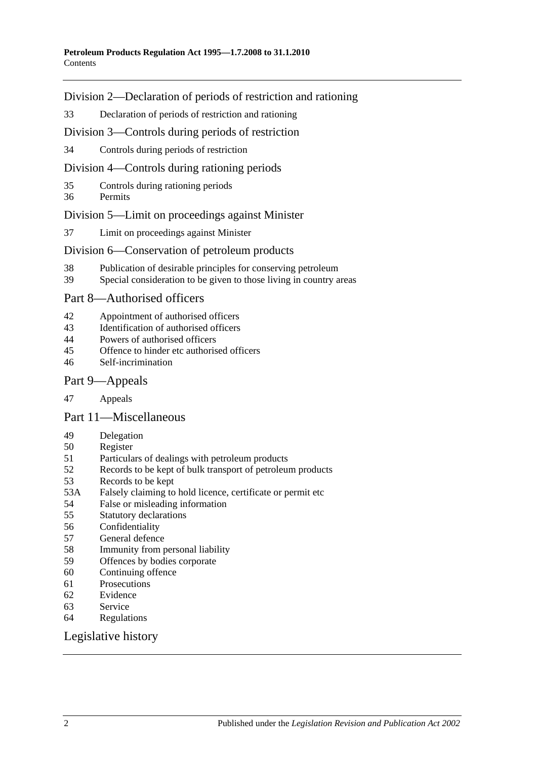#### [Division 2—Declaration of periods of restriction and rationing](#page-12-0)

[Declaration of periods of restriction and rationing](#page-12-1)

[Division 3—Controls during](#page-12-2) periods of restriction

[Controls during periods of restriction](#page-12-3)

[Division 4—Controls during rationing periods](#page-13-0)

- [Controls during rationing periods](#page-13-1)
- [Permits](#page-14-0)

#### [Division 5—Limit on proceedings against Minister](#page-14-1)

[Limit on proceedings against Minister](#page-14-2)

#### [Division 6—Conservation of petroleum products](#page-14-3)

- [Publication of desirable principles for conserving petroleum](#page-14-4)
- [Special consideration to be given to those living in country areas](#page-15-0)

#### [Part 8—Authorised officers](#page-15-1)

- [Appointment of authorised officers](#page-15-2)
- [Identification of authorised officers](#page-15-3)
- [Powers of authorised officers](#page-15-4)<br>45 Offence to hinder etc authoris
- [Offence to hinder etc authorised officers](#page-16-0)
- [Self-incrimination](#page-17-0)

#### [Part 9—Appeals](#page-17-1)

[Appeals](#page-17-2)

[Part 11—Miscellaneous](#page-18-0)

- [Delegation](#page-18-1)
- [Register](#page-19-0)
- [Particulars of dealings with petroleum products](#page-19-1)<br>52 Records to be kept of bulk transport of petroleum
- [Records to be kept of bulk transport of petroleum products](#page-19-2)
- [Records to be kept](#page-20-0)
- 53A [Falsely claiming to hold licence, certificate or permit etc](#page-20-1)
- [False or misleading information](#page-20-2)
- [Statutory declarations](#page-20-3)
- [Confidentiality](#page-21-0)
- [General defence](#page-22-0)
- [Immunity from personal liability](#page-22-1)
- [Offences by bodies corporate](#page-22-2)
- [Continuing offence](#page-22-3)
- [Prosecutions](#page-22-4)
- [Evidence](#page-23-0)
- [Service](#page-23-1)
- [Regulations](#page-24-0)

#### [Legislative history](#page-25-0)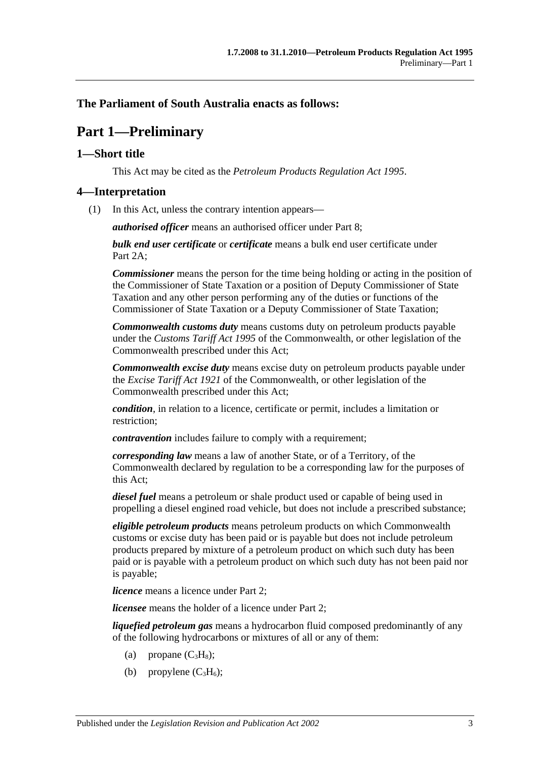#### <span id="page-2-0"></span>**The Parliament of South Australia enacts as follows:**

## **Part 1—Preliminary**

#### <span id="page-2-1"></span>**1—Short title**

This Act may be cited as the *Petroleum Products Regulation Act 1995*.

#### <span id="page-2-2"></span>**4—Interpretation**

(1) In this Act, unless the contrary intention appears—

*authorised officer* means an authorised officer under [Part 8;](#page-15-1)

*bulk end user certificate* or *certificate* means a bulk end user certificate under [Part](#page-7-3) 2A:

*Commissioner* means the person for the time being holding or acting in the position of the Commissioner of State Taxation or a position of Deputy Commissioner of State Taxation and any other person performing any of the duties or functions of the Commissioner of State Taxation or a Deputy Commissioner of State Taxation;

*Commonwealth customs duty* means customs duty on petroleum products payable under the *Customs Tariff Act 1995* of the Commonwealth, or other legislation of the Commonwealth prescribed under this Act;

*Commonwealth excise duty* means excise duty on petroleum products payable under the *Excise Tariff Act 1921* of the Commonwealth, or other legislation of the Commonwealth prescribed under this Act;

*condition*, in relation to a licence, certificate or permit, includes a limitation or restriction;

*contravention* includes failure to comply with a requirement;

*corresponding law* means a law of another State, or of a Territory, of the Commonwealth declared by regulation to be a corresponding law for the purposes of this Act;

*diesel fuel* means a petroleum or shale product used or capable of being used in propelling a diesel engined road vehicle, but does not include a prescribed substance;

*eligible petroleum products* means petroleum products on which Commonwealth customs or excise duty has been paid or is payable but does not include petroleum products prepared by mixture of a petroleum product on which such duty has been paid or is payable with a petroleum product on which such duty has not been paid nor is payable;

*licence* means a licence under [Part 2;](#page-5-4)

*licensee* means the holder of a licence under [Part 2;](#page-5-4)

*liquefied petroleum gas* means a hydrocarbon fluid composed predominantly of any of the following hydrocarbons or mixtures of all or any of them:

- (a) propane  $(C_3H_8)$ ;
- (b) propylene  $(C_3H_6)$ ;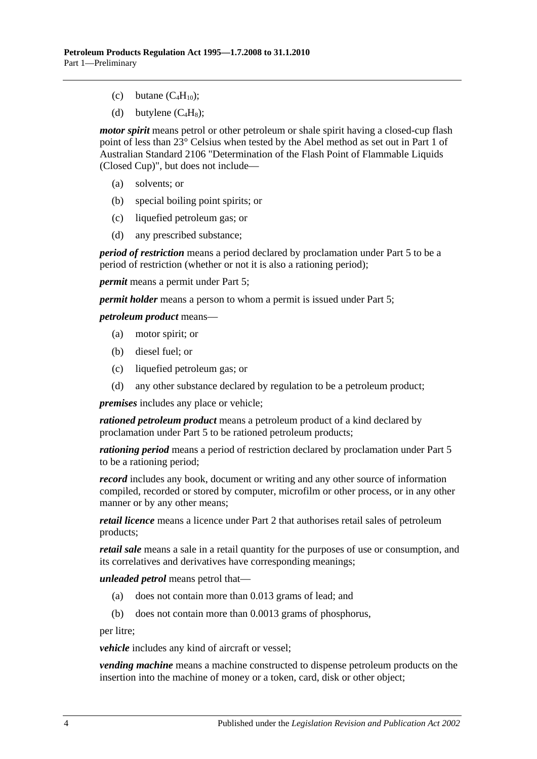- (c) butane  $(C_4H_{10})$ ;
- (d) butylene  $(C_4H_8)$ ;

*motor spirit* means petrol or other petroleum or shale spirit having a closed-cup flash point of less than 23° Celsius when tested by the Abel method as set out in Part 1 of Australian Standard 2106 "Determination of the Flash Point of Flammable Liquids (Closed Cup)", but does not include—

- (a) solvents; or
- (b) special boiling point spirits; or
- (c) liquefied petroleum gas; or
- (d) any prescribed substance;

*period of restriction* means a period declared by proclamation under [Part 5](#page-11-3) to be a period of restriction (whether or not it is also a rationing period);

*permit* means a permit under [Part 5;](#page-11-3)

*permit holder* means a person to whom a permit is issued under [Part 5;](#page-11-3)

#### *petroleum product* means—

- (a) motor spirit; or
- (b) diesel fuel; or
- (c) liquefied petroleum gas; or
- (d) any other substance declared by regulation to be a petroleum product;

*premises* includes any place or vehicle;

*rationed petroleum product* means a petroleum product of a kind declared by proclamation under [Part 5](#page-11-3) to be rationed petroleum products;

*rationing period* means a period of restriction declared by proclamation under [Part 5](#page-11-3) to be a rationing period;

*record* includes any book, document or writing and any other source of information compiled, recorded or stored by computer, microfilm or other process, or in any other manner or by any other means;

*retail licence* means a licence under [Part 2](#page-5-4) that authorises retail sales of petroleum products;

*retail sale* means a sale in a retail quantity for the purposes of use or consumption, and its correlatives and derivatives have corresponding meanings;

*unleaded petrol* means petrol that—

- (a) does not contain more than 0.013 grams of lead; and
- (b) does not contain more than 0.0013 grams of phosphorus,

per litre;

*vehicle* includes any kind of aircraft or vessel;

*vending machine* means a machine constructed to dispense petroleum products on the insertion into the machine of money or a token, card, disk or other object;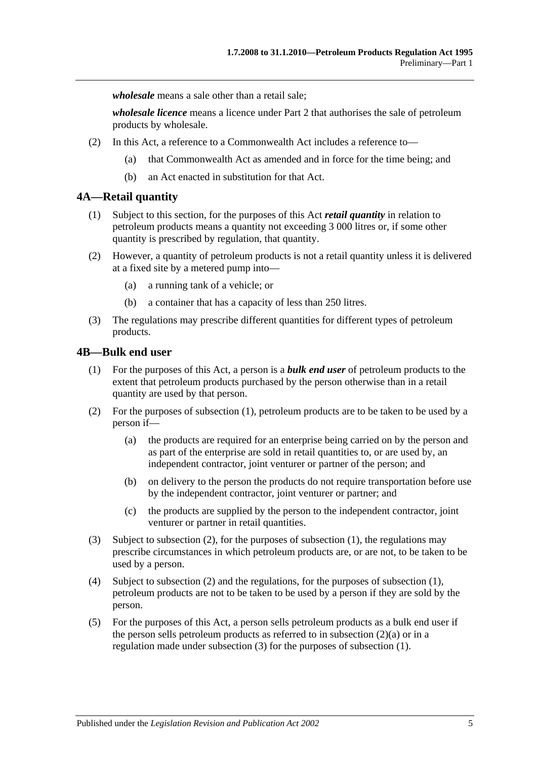*wholesale* means a sale other than a retail sale;

*wholesale licence* means a licence under [Part 2](#page-5-4) that authorises the sale of petroleum products by wholesale.

- (2) In this Act, a reference to a Commonwealth Act includes a reference to—
	- (a) that Commonwealth Act as amended and in force for the time being; and
	- (b) an Act enacted in substitution for that Act.

#### <span id="page-4-0"></span>**4A—Retail quantity**

- (1) Subject to this section, for the purposes of this Act *retail quantity* in relation to petroleum products means a quantity not exceeding 3 000 litres or, if some other quantity is prescribed by regulation, that quantity.
- (2) However, a quantity of petroleum products is not a retail quantity unless it is delivered at a fixed site by a metered pump into—
	- (a) a running tank of a vehicle; or
	- (b) a container that has a capacity of less than 250 litres.
- (3) The regulations may prescribe different quantities for different types of petroleum products.

#### <span id="page-4-2"></span><span id="page-4-1"></span>**4B—Bulk end user**

- (1) For the purposes of this Act, a person is a *bulk end user* of petroleum products to the extent that petroleum products purchased by the person otherwise than in a retail quantity are used by that person.
- <span id="page-4-4"></span><span id="page-4-3"></span>(2) For the purposes of [subsection](#page-4-2) (1), petroleum products are to be taken to be used by a person if—
	- (a) the products are required for an enterprise being carried on by the person and as part of the enterprise are sold in retail quantities to, or are used by, an independent contractor, joint venturer or partner of the person; and
	- (b) on delivery to the person the products do not require transportation before use by the independent contractor, joint venturer or partner; and
	- (c) the products are supplied by the person to the independent contractor, joint venturer or partner in retail quantities.
- <span id="page-4-5"></span>(3) Subject to [subsection](#page-4-3) (2), for the purposes of [subsection](#page-4-2) (1), the regulations may prescribe circumstances in which petroleum products are, or are not, to be taken to be used by a person.
- (4) Subject to [subsection](#page-4-3) (2) and the regulations, for the purposes of [subsection](#page-4-2) (1), petroleum products are not to be taken to be used by a person if they are sold by the person.
- (5) For the purposes of this Act, a person sells petroleum products as a bulk end user if the person sells petroleum products as referred to in [subsection](#page-4-4)  $(2)(a)$  or in a regulation made under [subsection](#page-4-5) (3) for the purposes of [subsection](#page-4-2) (1).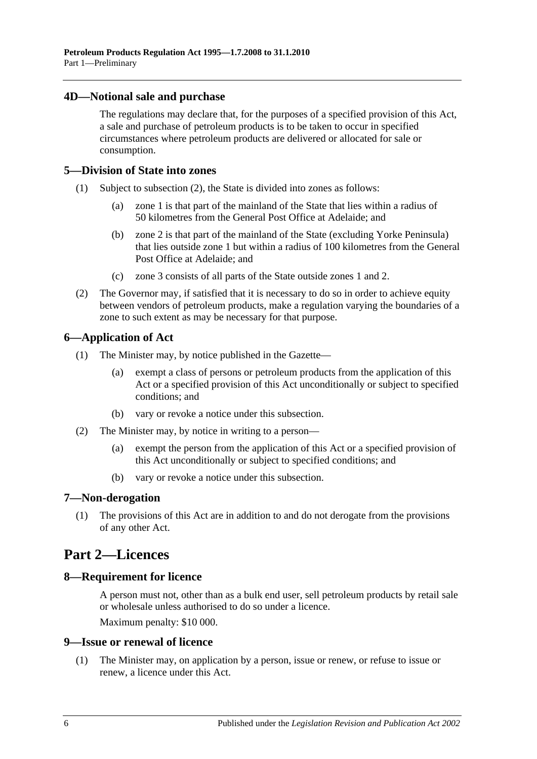#### <span id="page-5-0"></span>**4D—Notional sale and purchase**

The regulations may declare that, for the purposes of a specified provision of this Act, a sale and purchase of petroleum products is to be taken to occur in specified circumstances where petroleum products are delivered or allocated for sale or consumption.

#### <span id="page-5-1"></span>**5—Division of State into zones**

- (1) Subject to [subsection](#page-5-7) (2), the State is divided into zones as follows:
	- (a) zone 1 is that part of the mainland of the State that lies within a radius of 50 kilometres from the General Post Office at Adelaide; and
	- (b) zone 2 is that part of the mainland of the State (excluding Yorke Peninsula) that lies outside zone 1 but within a radius of 100 kilometres from the General Post Office at Adelaide; and
	- (c) zone 3 consists of all parts of the State outside zones 1 and 2.
- <span id="page-5-7"></span>(2) The Governor may, if satisfied that it is necessary to do so in order to achieve equity between vendors of petroleum products, make a regulation varying the boundaries of a zone to such extent as may be necessary for that purpose.

#### <span id="page-5-2"></span>**6—Application of Act**

- (1) The Minister may, by notice published in the Gazette—
	- (a) exempt a class of persons or petroleum products from the application of this Act or a specified provision of this Act unconditionally or subject to specified conditions; and
	- (b) vary or revoke a notice under this subsection.
- (2) The Minister may, by notice in writing to a person—
	- (a) exempt the person from the application of this Act or a specified provision of this Act unconditionally or subject to specified conditions; and
	- (b) vary or revoke a notice under this subsection.

#### <span id="page-5-3"></span>**7—Non-derogation**

(1) The provisions of this Act are in addition to and do not derogate from the provisions of any other Act.

## <span id="page-5-4"></span>**Part 2—Licences**

#### <span id="page-5-5"></span>**8—Requirement for licence**

A person must not, other than as a bulk end user, sell petroleum products by retail sale or wholesale unless authorised to do so under a licence. Maximum penalty: \$10 000.

#### <span id="page-5-6"></span>**9—Issue or renewal of licence**

(1) The Minister may, on application by a person, issue or renew, or refuse to issue or renew, a licence under this Act.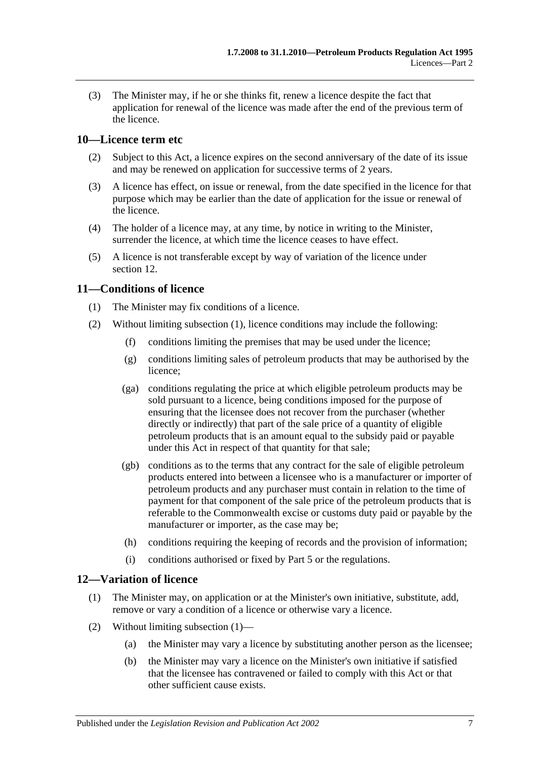(3) The Minister may, if he or she thinks fit, renew a licence despite the fact that application for renewal of the licence was made after the end of the previous term of the licence.

#### <span id="page-6-0"></span>**10—Licence term etc**

- (2) Subject to this Act, a licence expires on the second anniversary of the date of its issue and may be renewed on application for successive terms of 2 years.
- (3) A licence has effect, on issue or renewal, from the date specified in the licence for that purpose which may be earlier than the date of application for the issue or renewal of the licence.
- (4) The holder of a licence may, at any time, by notice in writing to the Minister, surrender the licence, at which time the licence ceases to have effect.
- (5) A licence is not transferable except by way of variation of the licence under [section](#page-6-2) 12.

#### <span id="page-6-3"></span><span id="page-6-1"></span>**11—Conditions of licence**

- (1) The Minister may fix conditions of a licence.
- (2) Without limiting [subsection](#page-6-3) (1), licence conditions may include the following:
	- (f) conditions limiting the premises that may be used under the licence;
	- (g) conditions limiting sales of petroleum products that may be authorised by the licence;
	- (ga) conditions regulating the price at which eligible petroleum products may be sold pursuant to a licence, being conditions imposed for the purpose of ensuring that the licensee does not recover from the purchaser (whether directly or indirectly) that part of the sale price of a quantity of eligible petroleum products that is an amount equal to the subsidy paid or payable under this Act in respect of that quantity for that sale;
	- (gb) conditions as to the terms that any contract for the sale of eligible petroleum products entered into between a licensee who is a manufacturer or importer of petroleum products and any purchaser must contain in relation to the time of payment for that component of the sale price of the petroleum products that is referable to the Commonwealth excise or customs duty paid or payable by the manufacturer or importer, as the case may be;
	- (h) conditions requiring the keeping of records and the provision of information;
	- (i) conditions authorised or fixed by [Part 5](#page-11-3) or the regulations.

#### <span id="page-6-4"></span><span id="page-6-2"></span>**12—Variation of licence**

- (1) The Minister may, on application or at the Minister's own initiative, substitute, add, remove or vary a condition of a licence or otherwise vary a licence.
- (2) Without limiting [subsection](#page-6-4) (1)—
	- (a) the Minister may vary a licence by substituting another person as the licensee;
	- (b) the Minister may vary a licence on the Minister's own initiative if satisfied that the licensee has contravened or failed to comply with this Act or that other sufficient cause exists.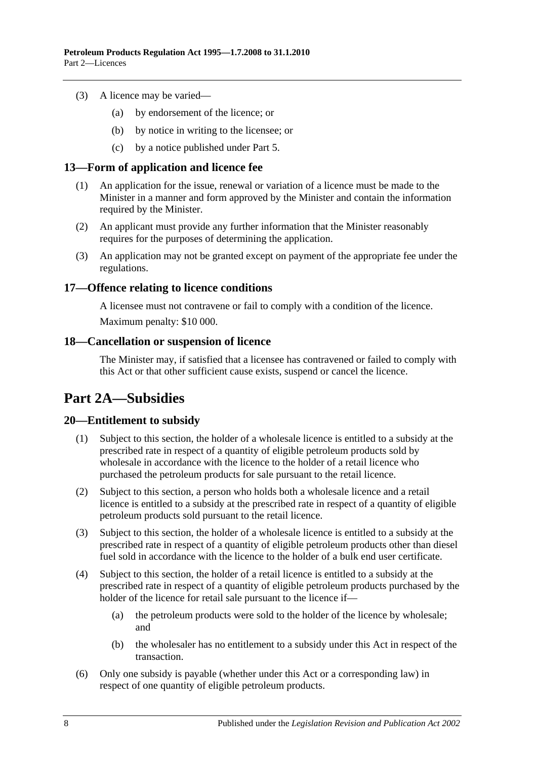- (3) A licence may be varied—
	- (a) by endorsement of the licence; or
	- (b) by notice in writing to the licensee; or
	- (c) by a notice published under [Part 5.](#page-11-3)

#### <span id="page-7-0"></span>**13—Form of application and licence fee**

- (1) An application for the issue, renewal or variation of a licence must be made to the Minister in a manner and form approved by the Minister and contain the information required by the Minister.
- (2) An applicant must provide any further information that the Minister reasonably requires for the purposes of determining the application.
- (3) An application may not be granted except on payment of the appropriate fee under the regulations.

#### <span id="page-7-1"></span>**17—Offence relating to licence conditions**

A licensee must not contravene or fail to comply with a condition of the licence. Maximum penalty: \$10 000.

#### <span id="page-7-2"></span>**18—Cancellation or suspension of licence**

The Minister may, if satisfied that a licensee has contravened or failed to comply with this Act or that other sufficient cause exists, suspend or cancel the licence.

## <span id="page-7-3"></span>**Part 2A—Subsidies**

#### <span id="page-7-4"></span>**20—Entitlement to subsidy**

- (1) Subject to this section, the holder of a wholesale licence is entitled to a subsidy at the prescribed rate in respect of a quantity of eligible petroleum products sold by wholesale in accordance with the licence to the holder of a retail licence who purchased the petroleum products for sale pursuant to the retail licence.
- (2) Subject to this section, a person who holds both a wholesale licence and a retail licence is entitled to a subsidy at the prescribed rate in respect of a quantity of eligible petroleum products sold pursuant to the retail licence.
- (3) Subject to this section, the holder of a wholesale licence is entitled to a subsidy at the prescribed rate in respect of a quantity of eligible petroleum products other than diesel fuel sold in accordance with the licence to the holder of a bulk end user certificate.
- (4) Subject to this section, the holder of a retail licence is entitled to a subsidy at the prescribed rate in respect of a quantity of eligible petroleum products purchased by the holder of the licence for retail sale pursuant to the licence if—
	- (a) the petroleum products were sold to the holder of the licence by wholesale; and
	- (b) the wholesaler has no entitlement to a subsidy under this Act in respect of the transaction.
- (6) Only one subsidy is payable (whether under this Act or a corresponding law) in respect of one quantity of eligible petroleum products.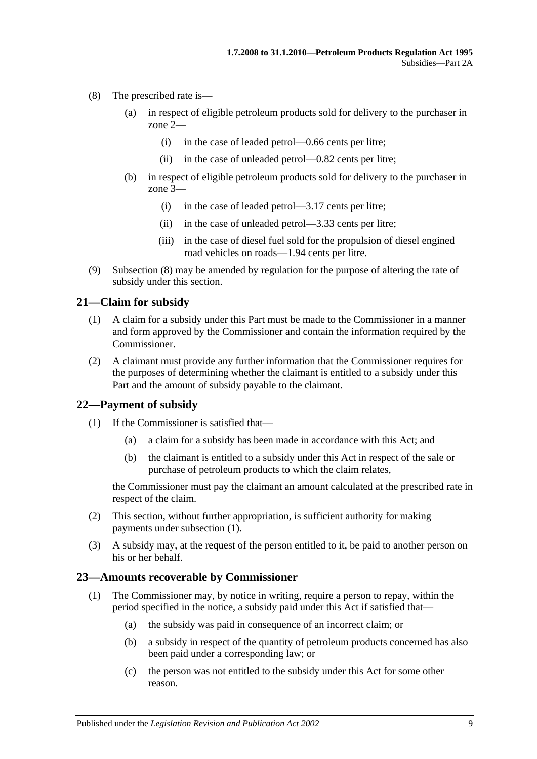- <span id="page-8-3"></span>(8) The prescribed rate is—
	- (a) in respect of eligible petroleum products sold for delivery to the purchaser in zone 2—
		- (i) in the case of leaded petrol—0.66 cents per litre;
		- (ii) in the case of unleaded petrol—0.82 cents per litre;
	- (b) in respect of eligible petroleum products sold for delivery to the purchaser in zone 3—
		- (i) in the case of leaded petrol—3.17 cents per litre;
		- (ii) in the case of unleaded petrol—3.33 cents per litre;
		- (iii) in the case of diesel fuel sold for the propulsion of diesel engined road vehicles on roads—1.94 cents per litre.
- (9) [Subsection](#page-8-3) (8) may be amended by regulation for the purpose of altering the rate of subsidy under this section.

#### <span id="page-8-0"></span>**21—Claim for subsidy**

- (1) A claim for a subsidy under this Part must be made to the Commissioner in a manner and form approved by the Commissioner and contain the information required by the Commissioner.
- (2) A claimant must provide any further information that the Commissioner requires for the purposes of determining whether the claimant is entitled to a subsidy under this Part and the amount of subsidy payable to the claimant.

#### <span id="page-8-4"></span><span id="page-8-1"></span>**22—Payment of subsidy**

- (1) If the Commissioner is satisfied that—
	- (a) a claim for a subsidy has been made in accordance with this Act; and
	- (b) the claimant is entitled to a subsidy under this Act in respect of the sale or purchase of petroleum products to which the claim relates,

the Commissioner must pay the claimant an amount calculated at the prescribed rate in respect of the claim.

- (2) This section, without further appropriation, is sufficient authority for making payments under [subsection](#page-8-4) (1).
- (3) A subsidy may, at the request of the person entitled to it, be paid to another person on his or her behalf.

#### <span id="page-8-2"></span>**23—Amounts recoverable by Commissioner**

- (1) The Commissioner may, by notice in writing, require a person to repay, within the period specified in the notice, a subsidy paid under this Act if satisfied that—
	- (a) the subsidy was paid in consequence of an incorrect claim; or
	- (b) a subsidy in respect of the quantity of petroleum products concerned has also been paid under a corresponding law; or
	- (c) the person was not entitled to the subsidy under this Act for some other reason.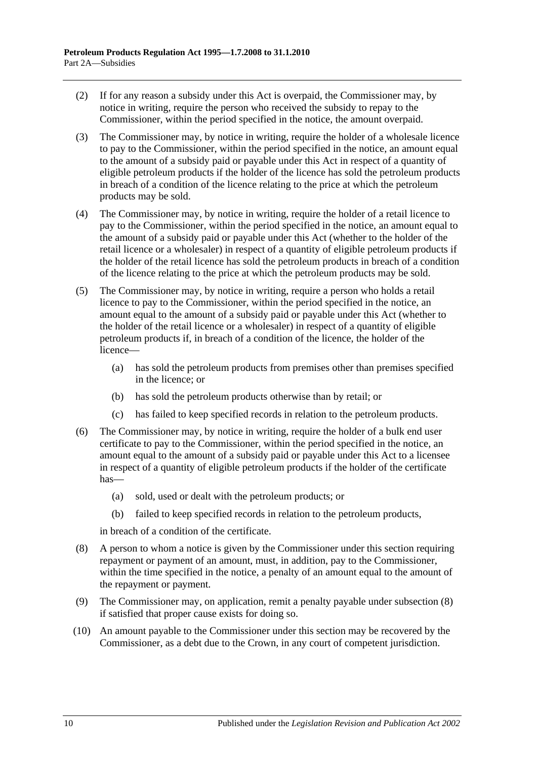- (2) If for any reason a subsidy under this Act is overpaid, the Commissioner may, by notice in writing, require the person who received the subsidy to repay to the Commissioner, within the period specified in the notice, the amount overpaid.
- (3) The Commissioner may, by notice in writing, require the holder of a wholesale licence to pay to the Commissioner, within the period specified in the notice, an amount equal to the amount of a subsidy paid or payable under this Act in respect of a quantity of eligible petroleum products if the holder of the licence has sold the petroleum products in breach of a condition of the licence relating to the price at which the petroleum products may be sold.
- (4) The Commissioner may, by notice in writing, require the holder of a retail licence to pay to the Commissioner, within the period specified in the notice, an amount equal to the amount of a subsidy paid or payable under this Act (whether to the holder of the retail licence or a wholesaler) in respect of a quantity of eligible petroleum products if the holder of the retail licence has sold the petroleum products in breach of a condition of the licence relating to the price at which the petroleum products may be sold.
- (5) The Commissioner may, by notice in writing, require a person who holds a retail licence to pay to the Commissioner, within the period specified in the notice, an amount equal to the amount of a subsidy paid or payable under this Act (whether to the holder of the retail licence or a wholesaler) in respect of a quantity of eligible petroleum products if, in breach of a condition of the licence, the holder of the licence—
	- (a) has sold the petroleum products from premises other than premises specified in the licence; or
	- (b) has sold the petroleum products otherwise than by retail; or
	- (c) has failed to keep specified records in relation to the petroleum products.
- (6) The Commissioner may, by notice in writing, require the holder of a bulk end user certificate to pay to the Commissioner, within the period specified in the notice, an amount equal to the amount of a subsidy paid or payable under this Act to a licensee in respect of a quantity of eligible petroleum products if the holder of the certificate has—
	- (a) sold, used or dealt with the petroleum products; or
	- (b) failed to keep specified records in relation to the petroleum products,

in breach of a condition of the certificate.

- <span id="page-9-0"></span>(8) A person to whom a notice is given by the Commissioner under this section requiring repayment or payment of an amount, must, in addition, pay to the Commissioner, within the time specified in the notice, a penalty of an amount equal to the amount of the repayment or payment.
- (9) The Commissioner may, on application, remit a penalty payable under [subsection](#page-9-0) (8) if satisfied that proper cause exists for doing so.
- (10) An amount payable to the Commissioner under this section may be recovered by the Commissioner, as a debt due to the Crown, in any court of competent jurisdiction.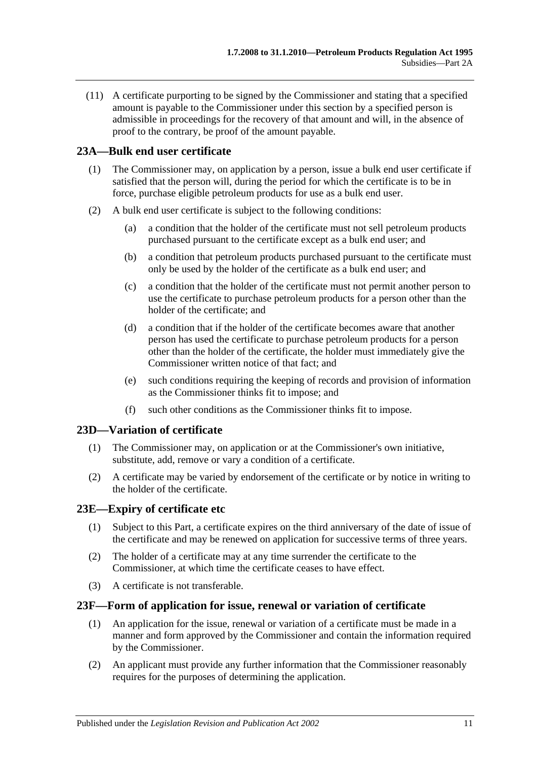(11) A certificate purporting to be signed by the Commissioner and stating that a specified amount is payable to the Commissioner under this section by a specified person is admissible in proceedings for the recovery of that amount and will, in the absence of proof to the contrary, be proof of the amount payable.

#### <span id="page-10-0"></span>**23A—Bulk end user certificate**

- (1) The Commissioner may, on application by a person, issue a bulk end user certificate if satisfied that the person will, during the period for which the certificate is to be in force, purchase eligible petroleum products for use as a bulk end user.
- (2) A bulk end user certificate is subject to the following conditions:
	- (a) a condition that the holder of the certificate must not sell petroleum products purchased pursuant to the certificate except as a bulk end user; and
	- (b) a condition that petroleum products purchased pursuant to the certificate must only be used by the holder of the certificate as a bulk end user; and
	- (c) a condition that the holder of the certificate must not permit another person to use the certificate to purchase petroleum products for a person other than the holder of the certificate; and
	- (d) a condition that if the holder of the certificate becomes aware that another person has used the certificate to purchase petroleum products for a person other than the holder of the certificate, the holder must immediately give the Commissioner written notice of that fact; and
	- (e) such conditions requiring the keeping of records and provision of information as the Commissioner thinks fit to impose; and
	- (f) such other conditions as the Commissioner thinks fit to impose.

#### <span id="page-10-1"></span>**23D—Variation of certificate**

- (1) The Commissioner may, on application or at the Commissioner's own initiative, substitute, add, remove or vary a condition of a certificate.
- (2) A certificate may be varied by endorsement of the certificate or by notice in writing to the holder of the certificate.

#### <span id="page-10-2"></span>**23E—Expiry of certificate etc**

- (1) Subject to this Part, a certificate expires on the third anniversary of the date of issue of the certificate and may be renewed on application for successive terms of three years.
- (2) The holder of a certificate may at any time surrender the certificate to the Commissioner, at which time the certificate ceases to have effect.
- (3) A certificate is not transferable.

#### <span id="page-10-3"></span>**23F—Form of application for issue, renewal or variation of certificate**

- (1) An application for the issue, renewal or variation of a certificate must be made in a manner and form approved by the Commissioner and contain the information required by the Commissioner.
- (2) An applicant must provide any further information that the Commissioner reasonably requires for the purposes of determining the application.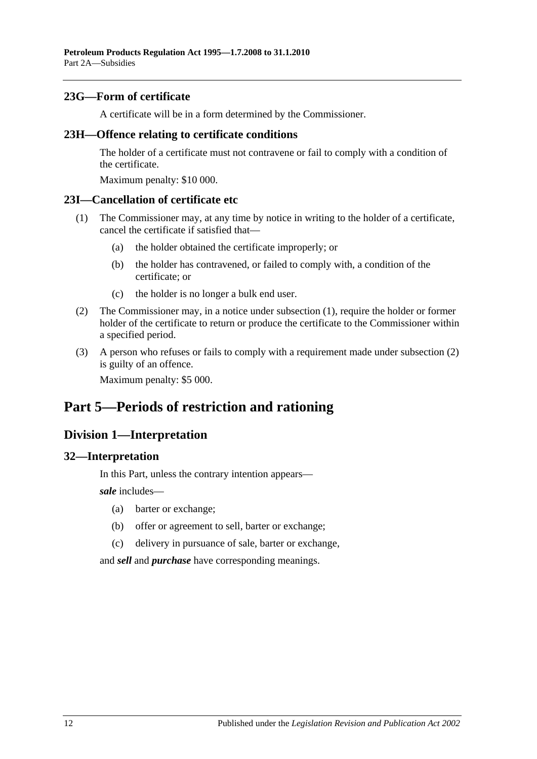#### <span id="page-11-0"></span>**23G—Form of certificate**

A certificate will be in a form determined by the Commissioner.

#### <span id="page-11-1"></span>**23H—Offence relating to certificate conditions**

The holder of a certificate must not contravene or fail to comply with a condition of the certificate.

Maximum penalty: \$10 000.

#### <span id="page-11-6"></span><span id="page-11-2"></span>**23I—Cancellation of certificate etc**

- (1) The Commissioner may, at any time by notice in writing to the holder of a certificate, cancel the certificate if satisfied that—
	- (a) the holder obtained the certificate improperly; or
	- (b) the holder has contravened, or failed to comply with, a condition of the certificate; or
	- (c) the holder is no longer a bulk end user.
- <span id="page-11-7"></span>(2) The Commissioner may, in a notice under [subsection](#page-11-6) (1), require the holder or former holder of the certificate to return or produce the certificate to the Commissioner within a specified period.
- (3) A person who refuses or fails to comply with a requirement made under [subsection](#page-11-7) (2) is guilty of an offence.

Maximum penalty: \$5 000.

## <span id="page-11-3"></span>**Part 5—Periods of restriction and rationing**

### <span id="page-11-4"></span>**Division 1—Interpretation**

#### <span id="page-11-5"></span>**32—Interpretation**

In this Part, unless the contrary intention appears—

*sale* includes—

- (a) barter or exchange;
- (b) offer or agreement to sell, barter or exchange;
- (c) delivery in pursuance of sale, barter or exchange,

and *sell* and *purchase* have corresponding meanings.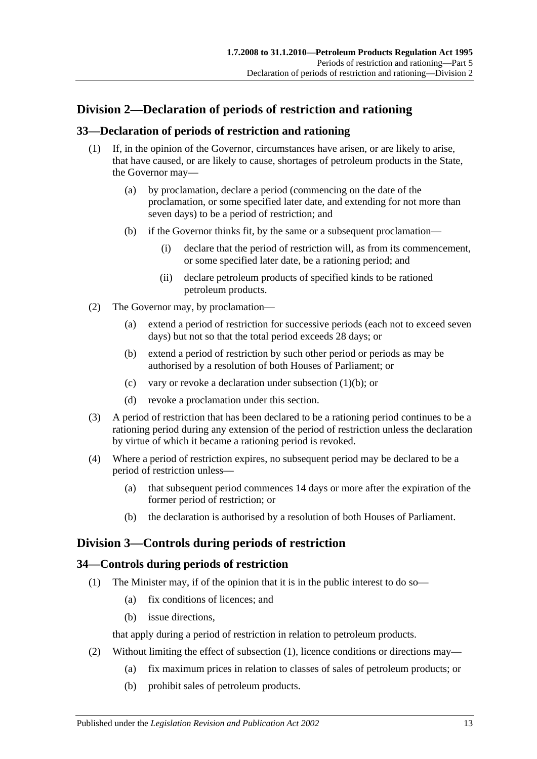## <span id="page-12-0"></span>**Division 2—Declaration of periods of restriction and rationing**

#### <span id="page-12-1"></span>**33—Declaration of periods of restriction and rationing**

- <span id="page-12-4"></span>(1) If, in the opinion of the Governor, circumstances have arisen, or are likely to arise, that have caused, or are likely to cause, shortages of petroleum products in the State, the Governor may—
	- (a) by proclamation, declare a period (commencing on the date of the proclamation, or some specified later date, and extending for not more than seven days) to be a period of restriction; and
	- (b) if the Governor thinks fit, by the same or a subsequent proclamation—
		- (i) declare that the period of restriction will, as from its commencement, or some specified later date, be a rationing period; and
		- (ii) declare petroleum products of specified kinds to be rationed petroleum products.
- (2) The Governor may, by proclamation—
	- (a) extend a period of restriction for successive periods (each not to exceed seven days) but not so that the total period exceeds 28 days; or
	- (b) extend a period of restriction by such other period or periods as may be authorised by a resolution of both Houses of Parliament; or
	- (c) vary or revoke a declaration under [subsection](#page-12-4) (1)(b); or
	- (d) revoke a proclamation under this section.
- (3) A period of restriction that has been declared to be a rationing period continues to be a rationing period during any extension of the period of restriction unless the declaration by virtue of which it became a rationing period is revoked.
- (4) Where a period of restriction expires, no subsequent period may be declared to be a period of restriction unless—
	- (a) that subsequent period commences 14 days or more after the expiration of the former period of restriction; or
	- (b) the declaration is authorised by a resolution of both Houses of Parliament.

### <span id="page-12-2"></span>**Division 3—Controls during periods of restriction**

#### <span id="page-12-5"></span><span id="page-12-3"></span>**34—Controls during periods of restriction**

- (1) The Minister may, if of the opinion that it is in the public interest to do so—
	- (a) fix conditions of licences; and
	- (b) issue directions,

that apply during a period of restriction in relation to petroleum products.

- (2) Without limiting the effect of [subsection](#page-12-5) (1), licence conditions or directions may—
	- (a) fix maximum prices in relation to classes of sales of petroleum products; or
	- (b) prohibit sales of petroleum products.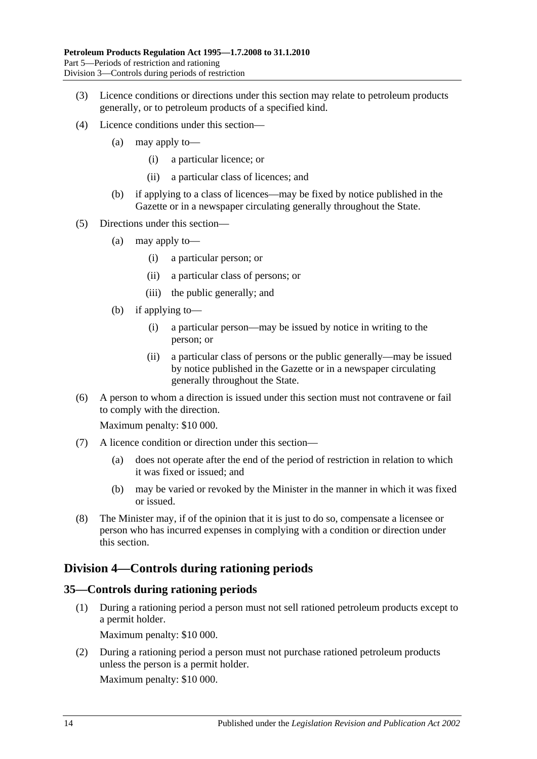- (3) Licence conditions or directions under this section may relate to petroleum products generally, or to petroleum products of a specified kind.
- (4) Licence conditions under this section—
	- (a) may apply to—
		- (i) a particular licence; or
		- (ii) a particular class of licences; and
	- (b) if applying to a class of licences—may be fixed by notice published in the Gazette or in a newspaper circulating generally throughout the State.
- (5) Directions under this section—
	- (a) may apply to—
		- (i) a particular person; or
		- (ii) a particular class of persons; or
		- (iii) the public generally; and
	- (b) if applying to—
		- (i) a particular person—may be issued by notice in writing to the person; or
		- (ii) a particular class of persons or the public generally—may be issued by notice published in the Gazette or in a newspaper circulating generally throughout the State.
- (6) A person to whom a direction is issued under this section must not contravene or fail to comply with the direction.

Maximum penalty: \$10 000.

- (7) A licence condition or direction under this section—
	- (a) does not operate after the end of the period of restriction in relation to which it was fixed or issued; and
	- (b) may be varied or revoked by the Minister in the manner in which it was fixed or issued.
- (8) The Minister may, if of the opinion that it is just to do so, compensate a licensee or person who has incurred expenses in complying with a condition or direction under this section.

#### <span id="page-13-0"></span>**Division 4—Controls during rationing periods**

#### <span id="page-13-1"></span>**35—Controls during rationing periods**

(1) During a rationing period a person must not sell rationed petroleum products except to a permit holder.

Maximum penalty: \$10 000.

(2) During a rationing period a person must not purchase rationed petroleum products unless the person is a permit holder.

Maximum penalty: \$10 000.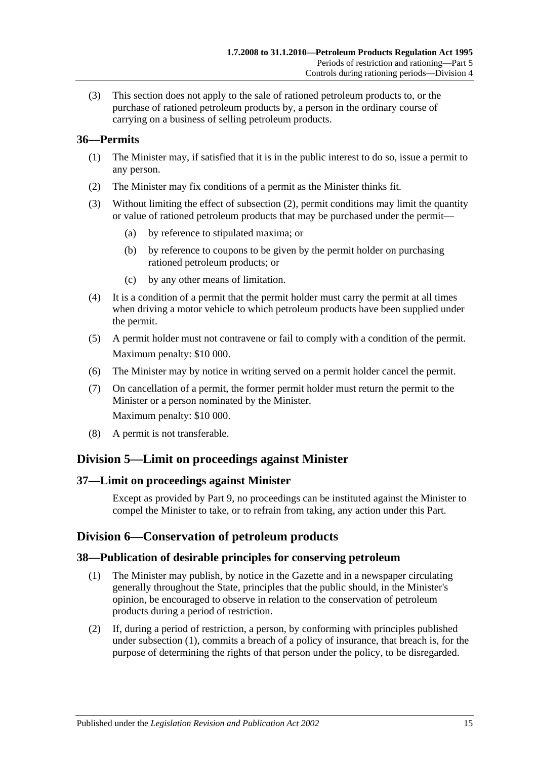(3) This section does not apply to the sale of rationed petroleum products to, or the purchase of rationed petroleum products by, a person in the ordinary course of carrying on a business of selling petroleum products.

#### <span id="page-14-0"></span>**36—Permits**

- (1) The Minister may, if satisfied that it is in the public interest to do so, issue a permit to any person.
- <span id="page-14-5"></span>(2) The Minister may fix conditions of a permit as the Minister thinks fit.
- (3) Without limiting the effect of [subsection](#page-14-5) (2), permit conditions may limit the quantity or value of rationed petroleum products that may be purchased under the permit—
	- (a) by reference to stipulated maxima; or
	- (b) by reference to coupons to be given by the permit holder on purchasing rationed petroleum products; or
	- (c) by any other means of limitation.
- (4) It is a condition of a permit that the permit holder must carry the permit at all times when driving a motor vehicle to which petroleum products have been supplied under the permit.
- (5) A permit holder must not contravene or fail to comply with a condition of the permit. Maximum penalty: \$10 000.
- (6) The Minister may by notice in writing served on a permit holder cancel the permit.
- (7) On cancellation of a permit, the former permit holder must return the permit to the Minister or a person nominated by the Minister. Maximum penalty: \$10 000.
- (8) A permit is not transferable.

#### <span id="page-14-1"></span>**Division 5—Limit on proceedings against Minister**

#### <span id="page-14-2"></span>**37—Limit on proceedings against Minister**

Except as provided by [Part 9,](#page-17-1) no proceedings can be instituted against the Minister to compel the Minister to take, or to refrain from taking, any action under this Part.

#### <span id="page-14-3"></span>**Division 6—Conservation of petroleum products**

#### <span id="page-14-6"></span><span id="page-14-4"></span>**38—Publication of desirable principles for conserving petroleum**

- (1) The Minister may publish, by notice in the Gazette and in a newspaper circulating generally throughout the State, principles that the public should, in the Minister's opinion, be encouraged to observe in relation to the conservation of petroleum products during a period of restriction.
- (2) If, during a period of restriction, a person, by conforming with principles published under [subsection](#page-14-6) (1), commits a breach of a policy of insurance, that breach is, for the purpose of determining the rights of that person under the policy, to be disregarded.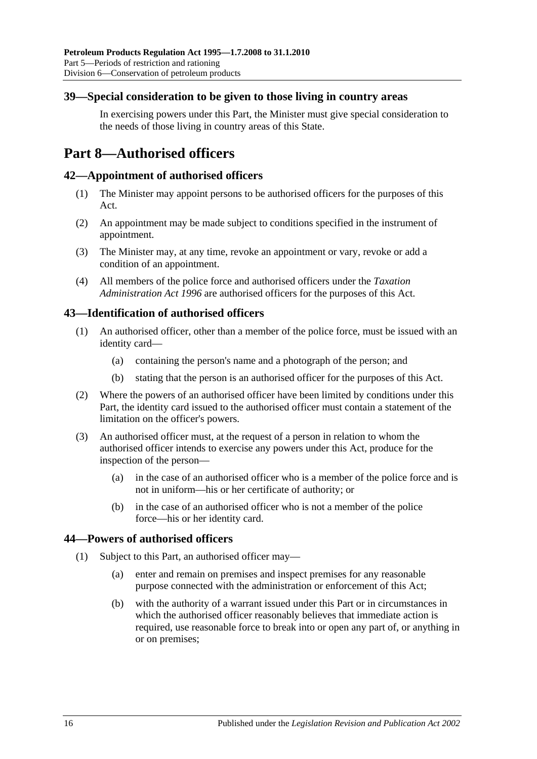#### <span id="page-15-0"></span>**39—Special consideration to be given to those living in country areas**

In exercising powers under this Part, the Minister must give special consideration to the needs of those living in country areas of this State.

## <span id="page-15-1"></span>**Part 8—Authorised officers**

#### <span id="page-15-2"></span>**42—Appointment of authorised officers**

- (1) The Minister may appoint persons to be authorised officers for the purposes of this Act.
- (2) An appointment may be made subject to conditions specified in the instrument of appointment.
- (3) The Minister may, at any time, revoke an appointment or vary, revoke or add a condition of an appointment.
- (4) All members of the police force and authorised officers under the *[Taxation](http://www.legislation.sa.gov.au/index.aspx?action=legref&type=act&legtitle=Taxation%20Administration%20Act%201996)  [Administration Act](http://www.legislation.sa.gov.au/index.aspx?action=legref&type=act&legtitle=Taxation%20Administration%20Act%201996) 1996* are authorised officers for the purposes of this Act.

#### <span id="page-15-3"></span>**43—Identification of authorised officers**

- (1) An authorised officer, other than a member of the police force, must be issued with an identity card—
	- (a) containing the person's name and a photograph of the person; and
	- (b) stating that the person is an authorised officer for the purposes of this Act.
- (2) Where the powers of an authorised officer have been limited by conditions under this Part, the identity card issued to the authorised officer must contain a statement of the limitation on the officer's powers.
- (3) An authorised officer must, at the request of a person in relation to whom the authorised officer intends to exercise any powers under this Act, produce for the inspection of the person—
	- (a) in the case of an authorised officer who is a member of the police force and is not in uniform—his or her certificate of authority; or
	- (b) in the case of an authorised officer who is not a member of the police force—his or her identity card.

#### <span id="page-15-5"></span><span id="page-15-4"></span>**44—Powers of authorised officers**

- (1) Subject to this Part, an authorised officer may—
	- (a) enter and remain on premises and inspect premises for any reasonable purpose connected with the administration or enforcement of this Act;
	- (b) with the authority of a warrant issued under this Part or in circumstances in which the authorised officer reasonably believes that immediate action is required, use reasonable force to break into or open any part of, or anything in or on premises;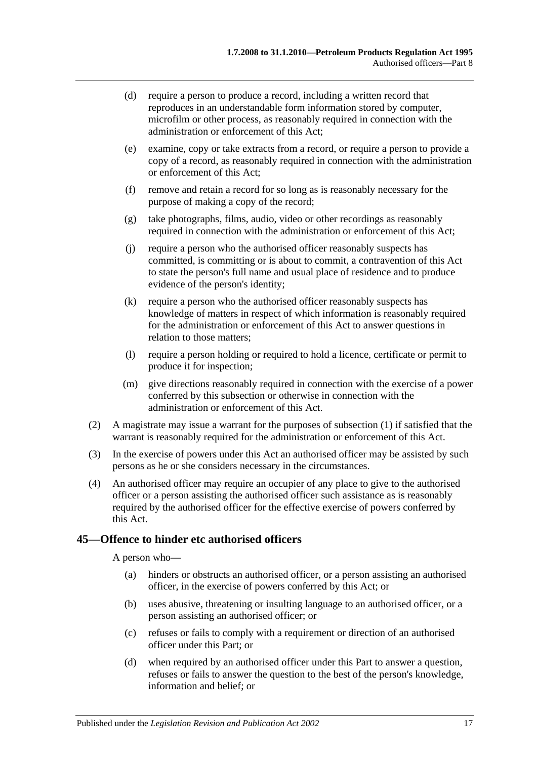- (d) require a person to produce a record, including a written record that reproduces in an understandable form information stored by computer, microfilm or other process, as reasonably required in connection with the administration or enforcement of this Act;
- (e) examine, copy or take extracts from a record, or require a person to provide a copy of a record, as reasonably required in connection with the administration or enforcement of this Act;
- (f) remove and retain a record for so long as is reasonably necessary for the purpose of making a copy of the record;
- (g) take photographs, films, audio, video or other recordings as reasonably required in connection with the administration or enforcement of this Act;
- (j) require a person who the authorised officer reasonably suspects has committed, is committing or is about to commit, a contravention of this Act to state the person's full name and usual place of residence and to produce evidence of the person's identity;
- (k) require a person who the authorised officer reasonably suspects has knowledge of matters in respect of which information is reasonably required for the administration or enforcement of this Act to answer questions in relation to those matters;
- (l) require a person holding or required to hold a licence, certificate or permit to produce it for inspection;
- (m) give directions reasonably required in connection with the exercise of a power conferred by this subsection or otherwise in connection with the administration or enforcement of this Act.
- (2) A magistrate may issue a warrant for the purposes of [subsection](#page-15-5) (1) if satisfied that the warrant is reasonably required for the administration or enforcement of this Act.
- (3) In the exercise of powers under this Act an authorised officer may be assisted by such persons as he or she considers necessary in the circumstances.
- (4) An authorised officer may require an occupier of any place to give to the authorised officer or a person assisting the authorised officer such assistance as is reasonably required by the authorised officer for the effective exercise of powers conferred by this Act.

#### <span id="page-16-0"></span>**45—Offence to hinder etc authorised officers**

A person who—

- (a) hinders or obstructs an authorised officer, or a person assisting an authorised officer, in the exercise of powers conferred by this Act; or
- (b) uses abusive, threatening or insulting language to an authorised officer, or a person assisting an authorised officer; or
- (c) refuses or fails to comply with a requirement or direction of an authorised officer under this Part; or
- (d) when required by an authorised officer under this Part to answer a question, refuses or fails to answer the question to the best of the person's knowledge, information and belief; or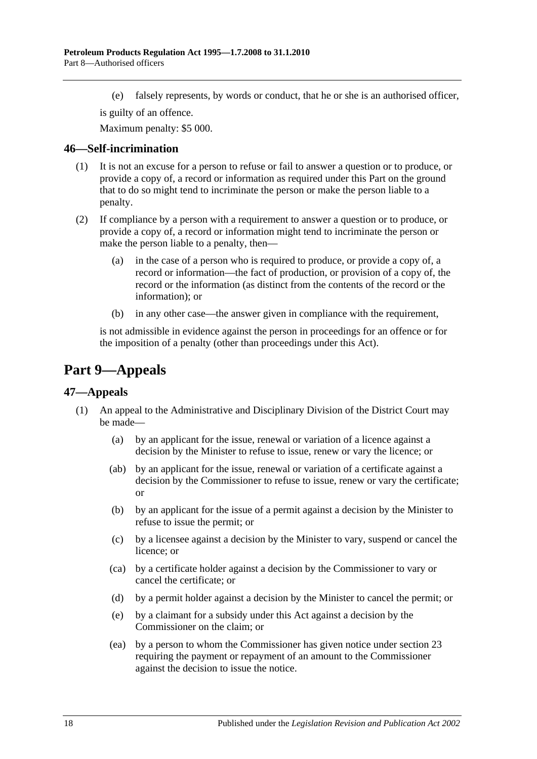(e) falsely represents, by words or conduct, that he or she is an authorised officer,

is guilty of an offence.

Maximum penalty: \$5 000.

#### <span id="page-17-0"></span>**46—Self-incrimination**

- (1) It is not an excuse for a person to refuse or fail to answer a question or to produce, or provide a copy of, a record or information as required under this Part on the ground that to do so might tend to incriminate the person or make the person liable to a penalty.
- (2) If compliance by a person with a requirement to answer a question or to produce, or provide a copy of, a record or information might tend to incriminate the person or make the person liable to a penalty, then—
	- (a) in the case of a person who is required to produce, or provide a copy of, a record or information—the fact of production, or provision of a copy of, the record or the information (as distinct from the contents of the record or the information); or
	- (b) in any other case—the answer given in compliance with the requirement,

is not admissible in evidence against the person in proceedings for an offence or for the imposition of a penalty (other than proceedings under this Act).

## <span id="page-17-1"></span>**Part 9—Appeals**

#### <span id="page-17-3"></span><span id="page-17-2"></span>**47—Appeals**

- (1) An appeal to the Administrative and Disciplinary Division of the District Court may be made—
	- (a) by an applicant for the issue, renewal or variation of a licence against a decision by the Minister to refuse to issue, renew or vary the licence; or
	- (ab) by an applicant for the issue, renewal or variation of a certificate against a decision by the Commissioner to refuse to issue, renew or vary the certificate; or
	- (b) by an applicant for the issue of a permit against a decision by the Minister to refuse to issue the permit; or
	- (c) by a licensee against a decision by the Minister to vary, suspend or cancel the licence; or
	- (ca) by a certificate holder against a decision by the Commissioner to vary or cancel the certificate; or
	- (d) by a permit holder against a decision by the Minister to cancel the permit; or
	- (e) by a claimant for a subsidy under this Act against a decision by the Commissioner on the claim; or
	- (ea) by a person to whom the Commissioner has given notice under [section](#page-8-2) 23 requiring the payment or repayment of an amount to the Commissioner against the decision to issue the notice.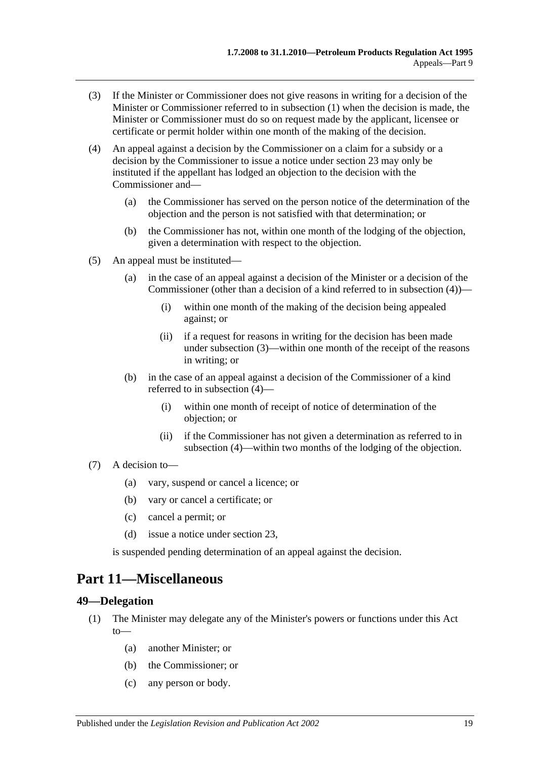- <span id="page-18-3"></span>(3) If the Minister or Commissioner does not give reasons in writing for a decision of the Minister or Commissioner referred to in [subsection](#page-17-3) (1) when the decision is made, the Minister or Commissioner must do so on request made by the applicant, licensee or certificate or permit holder within one month of the making of the decision.
- <span id="page-18-2"></span>(4) An appeal against a decision by the Commissioner on a claim for a subsidy or a decision by the Commissioner to issue a notice under [section](#page-8-2) 23 may only be instituted if the appellant has lodged an objection to the decision with the Commissioner and—
	- (a) the Commissioner has served on the person notice of the determination of the objection and the person is not satisfied with that determination; or
	- (b) the Commissioner has not, within one month of the lodging of the objection, given a determination with respect to the objection.
- (5) An appeal must be instituted—
	- (a) in the case of an appeal against a decision of the Minister or a decision of the Commissioner (other than a decision of a kind referred to in [subsection](#page-18-2) (4))—
		- (i) within one month of the making of the decision being appealed against; or
		- (ii) if a request for reasons in writing for the decision has been made under [subsection](#page-18-3) (3)—within one month of the receipt of the reasons in writing; or
	- (b) in the case of an appeal against a decision of the Commissioner of a kind referred to in [subsection](#page-18-2) (4)—
		- (i) within one month of receipt of notice of determination of the objection; or
		- (ii) if the Commissioner has not given a determination as referred to in [subsection](#page-18-2) (4)—within two months of the lodging of the objection.
- (7) A decision to—
	- (a) vary, suspend or cancel a licence; or
	- (b) vary or cancel a certificate; or
	- (c) cancel a permit; or
	- (d) issue a notice under [section](#page-8-2) 23,

is suspended pending determination of an appeal against the decision.

### <span id="page-18-0"></span>**Part 11—Miscellaneous**

#### <span id="page-18-1"></span>**49—Delegation**

- (1) The Minister may delegate any of the Minister's powers or functions under this Act to—
	- (a) another Minister; or
	- (b) the Commissioner; or
	- (c) any person or body.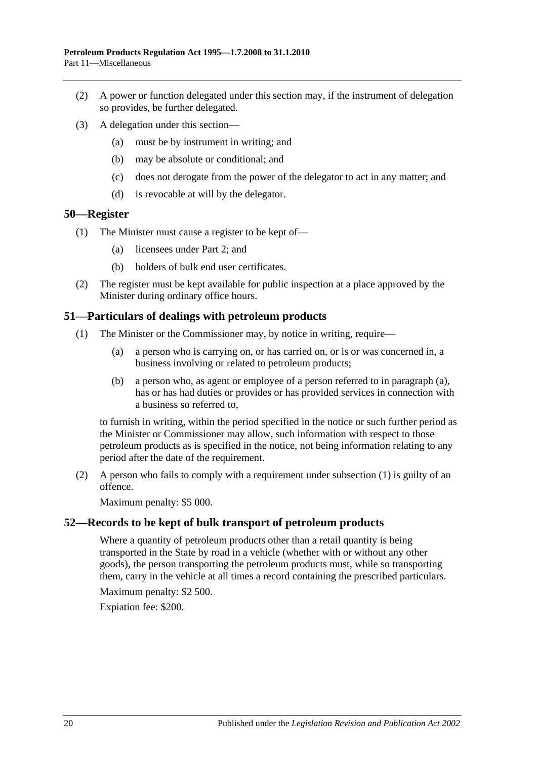- (2) A power or function delegated under this section may, if the instrument of delegation so provides, be further delegated.
- (3) A delegation under this section—
	- (a) must be by instrument in writing; and
	- (b) may be absolute or conditional; and
	- (c) does not derogate from the power of the delegator to act in any matter; and
	- (d) is revocable at will by the delegator.

#### <span id="page-19-0"></span>**50—Register**

- (1) The Minister must cause a register to be kept of—
	- (a) licensees under [Part 2;](#page-5-4) and
	- (b) holders of bulk end user certificates.
- (2) The register must be kept available for public inspection at a place approved by the Minister during ordinary office hours.

#### <span id="page-19-4"></span><span id="page-19-1"></span>**51—Particulars of dealings with petroleum products**

- <span id="page-19-3"></span>(1) The Minister or the Commissioner may, by notice in writing, require—
	- (a) a person who is carrying on, or has carried on, or is or was concerned in, a business involving or related to petroleum products;
	- (b) a person who, as agent or employee of a person referred to in [paragraph](#page-19-3) (a), has or has had duties or provides or has provided services in connection with a business so referred to,

to furnish in writing, within the period specified in the notice or such further period as the Minister or Commissioner may allow, such information with respect to those petroleum products as is specified in the notice, not being information relating to any period after the date of the requirement.

(2) A person who fails to comply with a requirement under [subsection](#page-19-4) (1) is guilty of an offence.

Maximum penalty: \$5 000.

#### <span id="page-19-2"></span>**52—Records to be kept of bulk transport of petroleum products**

Where a quantity of petroleum products other than a retail quantity is being transported in the State by road in a vehicle (whether with or without any other goods), the person transporting the petroleum products must, while so transporting them, carry in the vehicle at all times a record containing the prescribed particulars.

Maximum penalty: \$2 500.

Expiation fee: \$200.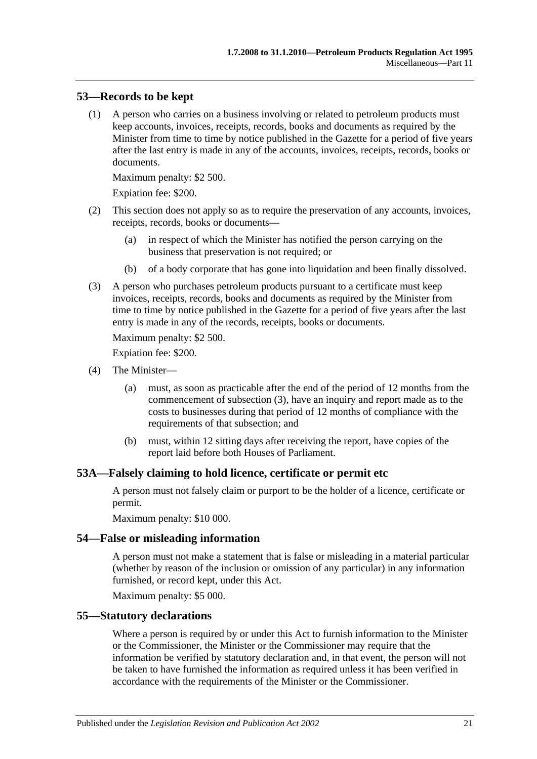#### <span id="page-20-0"></span>**53—Records to be kept**

(1) A person who carries on a business involving or related to petroleum products must keep accounts, invoices, receipts, records, books and documents as required by the Minister from time to time by notice published in the Gazette for a period of five years after the last entry is made in any of the accounts, invoices, receipts, records, books or documents.

Maximum penalty: \$2 500.

Expiation fee: \$200.

- (2) This section does not apply so as to require the preservation of any accounts, invoices, receipts, records, books or documents—
	- (a) in respect of which the Minister has notified the person carrying on the business that preservation is not required; or
	- (b) of a body corporate that has gone into liquidation and been finally dissolved.
- <span id="page-20-4"></span>(3) A person who purchases petroleum products pursuant to a certificate must keep invoices, receipts, records, books and documents as required by the Minister from time to time by notice published in the Gazette for a period of five years after the last entry is made in any of the records, receipts, books or documents.

Maximum penalty: \$2 500.

Expiation fee: \$200.

- (4) The Minister—
	- (a) must, as soon as practicable after the end of the period of 12 months from the commencement of [subsection](#page-20-4) (3), have an inquiry and report made as to the costs to businesses during that period of 12 months of compliance with the requirements of that subsection; and
	- (b) must, within 12 sitting days after receiving the report, have copies of the report laid before both Houses of Parliament.

#### <span id="page-20-1"></span>**53A—Falsely claiming to hold licence, certificate or permit etc**

A person must not falsely claim or purport to be the holder of a licence, certificate or permit.

Maximum penalty: \$10 000.

#### <span id="page-20-2"></span>**54—False or misleading information**

A person must not make a statement that is false or misleading in a material particular (whether by reason of the inclusion or omission of any particular) in any information furnished, or record kept, under this Act.

Maximum penalty: \$5 000.

#### <span id="page-20-3"></span>**55—Statutory declarations**

Where a person is required by or under this Act to furnish information to the Minister or the Commissioner, the Minister or the Commissioner may require that the information be verified by statutory declaration and, in that event, the person will not be taken to have furnished the information as required unless it has been verified in accordance with the requirements of the Minister or the Commissioner.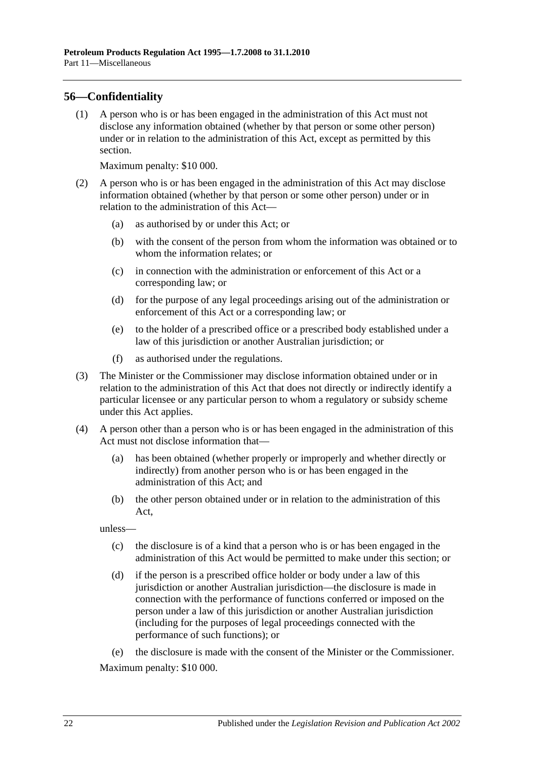#### <span id="page-21-0"></span>**56—Confidentiality**

(1) A person who is or has been engaged in the administration of this Act must not disclose any information obtained (whether by that person or some other person) under or in relation to the administration of this Act, except as permitted by this section.

Maximum penalty: \$10 000.

- (2) A person who is or has been engaged in the administration of this Act may disclose information obtained (whether by that person or some other person) under or in relation to the administration of this Act—
	- (a) as authorised by or under this Act; or
	- (b) with the consent of the person from whom the information was obtained or to whom the information relates; or
	- (c) in connection with the administration or enforcement of this Act or a corresponding law; or
	- (d) for the purpose of any legal proceedings arising out of the administration or enforcement of this Act or a corresponding law; or
	- (e) to the holder of a prescribed office or a prescribed body established under a law of this jurisdiction or another Australian jurisdiction; or
	- (f) as authorised under the regulations.
- (3) The Minister or the Commissioner may disclose information obtained under or in relation to the administration of this Act that does not directly or indirectly identify a particular licensee or any particular person to whom a regulatory or subsidy scheme under this Act applies.
- (4) A person other than a person who is or has been engaged in the administration of this Act must not disclose information that—
	- (a) has been obtained (whether properly or improperly and whether directly or indirectly) from another person who is or has been engaged in the administration of this Act; and
	- (b) the other person obtained under or in relation to the administration of this Act,

unless—

- (c) the disclosure is of a kind that a person who is or has been engaged in the administration of this Act would be permitted to make under this section; or
- (d) if the person is a prescribed office holder or body under a law of this jurisdiction or another Australian jurisdiction—the disclosure is made in connection with the performance of functions conferred or imposed on the person under a law of this jurisdiction or another Australian jurisdiction (including for the purposes of legal proceedings connected with the performance of such functions); or

(e) the disclosure is made with the consent of the Minister or the Commissioner. Maximum penalty: \$10 000.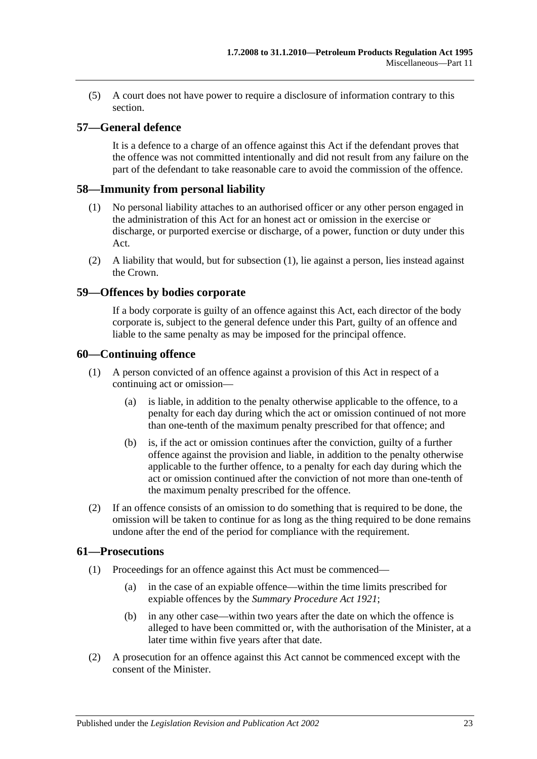(5) A court does not have power to require a disclosure of information contrary to this section.

#### <span id="page-22-0"></span>**57—General defence**

It is a defence to a charge of an offence against this Act if the defendant proves that the offence was not committed intentionally and did not result from any failure on the part of the defendant to take reasonable care to avoid the commission of the offence.

#### <span id="page-22-5"></span><span id="page-22-1"></span>**58—Immunity from personal liability**

- (1) No personal liability attaches to an authorised officer or any other person engaged in the administration of this Act for an honest act or omission in the exercise or discharge, or purported exercise or discharge, of a power, function or duty under this Act.
- (2) A liability that would, but for [subsection](#page-22-5) (1), lie against a person, lies instead against the Crown.

#### <span id="page-22-2"></span>**59—Offences by bodies corporate**

If a body corporate is guilty of an offence against this Act, each director of the body corporate is, subject to the general defence under this Part, guilty of an offence and liable to the same penalty as may be imposed for the principal offence.

#### <span id="page-22-3"></span>**60—Continuing offence**

- (1) A person convicted of an offence against a provision of this Act in respect of a continuing act or omission—
	- (a) is liable, in addition to the penalty otherwise applicable to the offence, to a penalty for each day during which the act or omission continued of not more than one-tenth of the maximum penalty prescribed for that offence; and
	- (b) is, if the act or omission continues after the conviction, guilty of a further offence against the provision and liable, in addition to the penalty otherwise applicable to the further offence, to a penalty for each day during which the act or omission continued after the conviction of not more than one-tenth of the maximum penalty prescribed for the offence.
- (2) If an offence consists of an omission to do something that is required to be done, the omission will be taken to continue for as long as the thing required to be done remains undone after the end of the period for compliance with the requirement.

#### <span id="page-22-4"></span>**61—Prosecutions**

- (1) Proceedings for an offence against this Act must be commenced—
	- (a) in the case of an expiable offence—within the time limits prescribed for expiable offences by the *[Summary Procedure Act](http://www.legislation.sa.gov.au/index.aspx?action=legref&type=act&legtitle=Summary%20Procedure%20Act%201921) 1921*;
	- (b) in any other case—within two years after the date on which the offence is alleged to have been committed or, with the authorisation of the Minister, at a later time within five years after that date.
- (2) A prosecution for an offence against this Act cannot be commenced except with the consent of the Minister.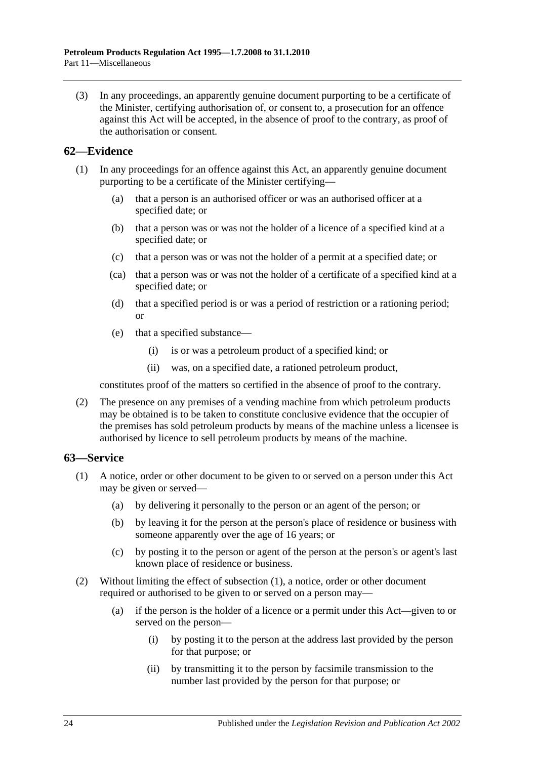(3) In any proceedings, an apparently genuine document purporting to be a certificate of the Minister, certifying authorisation of, or consent to, a prosecution for an offence against this Act will be accepted, in the absence of proof to the contrary, as proof of the authorisation or consent.

#### <span id="page-23-0"></span>**62—Evidence**

- (1) In any proceedings for an offence against this Act, an apparently genuine document purporting to be a certificate of the Minister certifying—
	- (a) that a person is an authorised officer or was an authorised officer at a specified date; or
	- (b) that a person was or was not the holder of a licence of a specified kind at a specified date; or
	- (c) that a person was or was not the holder of a permit at a specified date; or
	- (ca) that a person was or was not the holder of a certificate of a specified kind at a specified date; or
	- (d) that a specified period is or was a period of restriction or a rationing period; or
	- (e) that a specified substance—
		- (i) is or was a petroleum product of a specified kind; or
		- (ii) was, on a specified date, a rationed petroleum product,

constitutes proof of the matters so certified in the absence of proof to the contrary.

(2) The presence on any premises of a vending machine from which petroleum products may be obtained is to be taken to constitute conclusive evidence that the occupier of the premises has sold petroleum products by means of the machine unless a licensee is authorised by licence to sell petroleum products by means of the machine.

#### <span id="page-23-2"></span><span id="page-23-1"></span>**63—Service**

- (1) A notice, order or other document to be given to or served on a person under this Act may be given or served—
	- (a) by delivering it personally to the person or an agent of the person; or
	- (b) by leaving it for the person at the person's place of residence or business with someone apparently over the age of 16 years; or
	- (c) by posting it to the person or agent of the person at the person's or agent's last known place of residence or business.
- (2) Without limiting the effect of [subsection](#page-23-2) (1), a notice, order or other document required or authorised to be given to or served on a person may—
	- (a) if the person is the holder of a licence or a permit under this Act—given to or served on the person—
		- (i) by posting it to the person at the address last provided by the person for that purpose; or
		- (ii) by transmitting it to the person by facsimile transmission to the number last provided by the person for that purpose; or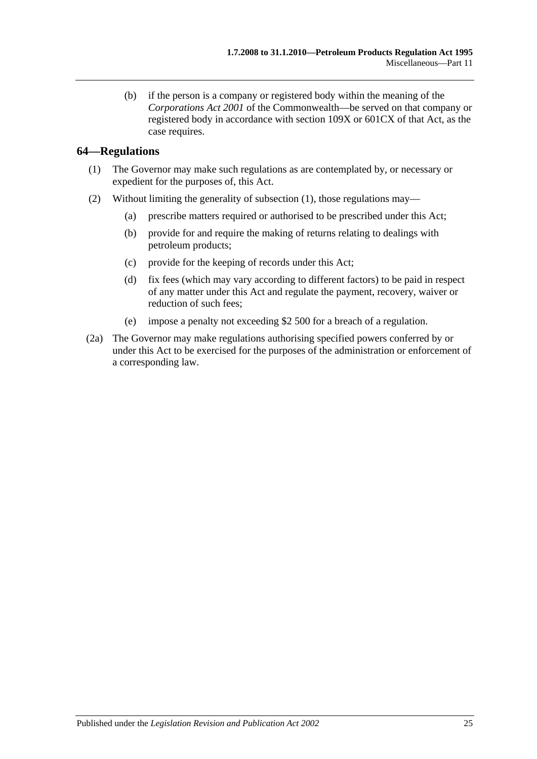(b) if the person is a company or registered body within the meaning of the *Corporations Act 2001* of the Commonwealth—be served on that company or registered body in accordance with section 109X or 601CX of that Act, as the case requires.

#### <span id="page-24-1"></span><span id="page-24-0"></span>**64—Regulations**

- (1) The Governor may make such regulations as are contemplated by, or necessary or expedient for the purposes of, this Act.
- (2) Without limiting the generality of [subsection](#page-24-1) (1), those regulations may—
	- (a) prescribe matters required or authorised to be prescribed under this Act;
	- (b) provide for and require the making of returns relating to dealings with petroleum products;
	- (c) provide for the keeping of records under this Act;
	- (d) fix fees (which may vary according to different factors) to be paid in respect of any matter under this Act and regulate the payment, recovery, waiver or reduction of such fees;
	- (e) impose a penalty not exceeding \$2 500 for a breach of a regulation.
- (2a) The Governor may make regulations authorising specified powers conferred by or under this Act to be exercised for the purposes of the administration or enforcement of a corresponding law.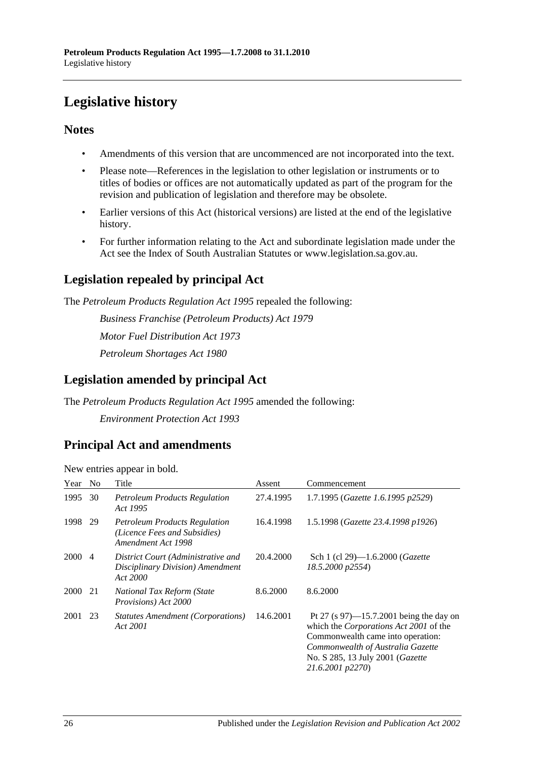## <span id="page-25-0"></span>**Legislative history**

#### **Notes**

- Amendments of this version that are uncommenced are not incorporated into the text.
- Please note—References in the legislation to other legislation or instruments or to titles of bodies or offices are not automatically updated as part of the program for the revision and publication of legislation and therefore may be obsolete.
- Earlier versions of this Act (historical versions) are listed at the end of the legislative history.
- For further information relating to the Act and subordinate legislation made under the Act see the Index of South Australian Statutes or www.legislation.sa.gov.au.

## **Legislation repealed by principal Act**

The *Petroleum Products Regulation Act 1995* repealed the following:

*Business Franchise (Petroleum Products) Act 1979 Motor Fuel Distribution Act 1973 Petroleum Shortages Act 1980*

## **Legislation amended by principal Act**

The *Petroleum Products Regulation Act 1995* amended the following: *Environment Protection Act 1993*

### **Principal Act and amendments**

| Year | N <sub>0</sub> | Title                                                                                      | Assent    | Commencement                                                                                                                                                                                                           |
|------|----------------|--------------------------------------------------------------------------------------------|-----------|------------------------------------------------------------------------------------------------------------------------------------------------------------------------------------------------------------------------|
| 1995 | 30             | <b>Petroleum Products Regulation</b><br>Act 1995                                           | 27.4.1995 | 1.7.1995 (Gazette 1.6.1995 p2529)                                                                                                                                                                                      |
| 1998 | 29             | <b>Petroleum Products Regulation</b><br>(Licence Fees and Subsidies)<br>Amendment Act 1998 | 16.4.1998 | 1.5.1998 (Gazette 23.4.1998 p1926)                                                                                                                                                                                     |
| 2000 | $\overline{4}$ | District Court (Administrative and<br>Disciplinary Division) Amendment<br>Act 2000         | 20.4.2000 | Sch 1 (cl 29)—1.6.2000 ( <i>Gazette</i><br>18.5.2000 p2554)                                                                                                                                                            |
| 2000 | 21             | National Tax Reform (State<br>Provisions) Act 2000                                         | 8.6.2000  | 8.6.2000                                                                                                                                                                                                               |
| 2001 | 23             | Statutes Amendment (Corporations)<br>Act 2001                                              | 14.6.2001 | Pt 27 (s $97$ )—15.7.2001 being the day on<br>which the Corporations Act 2001 of the<br>Commonwealth came into operation:<br>Commonwealth of Australia Gazette<br>No. S 285, 13 July 2001 (Gazette<br>21.6.2001 p2270) |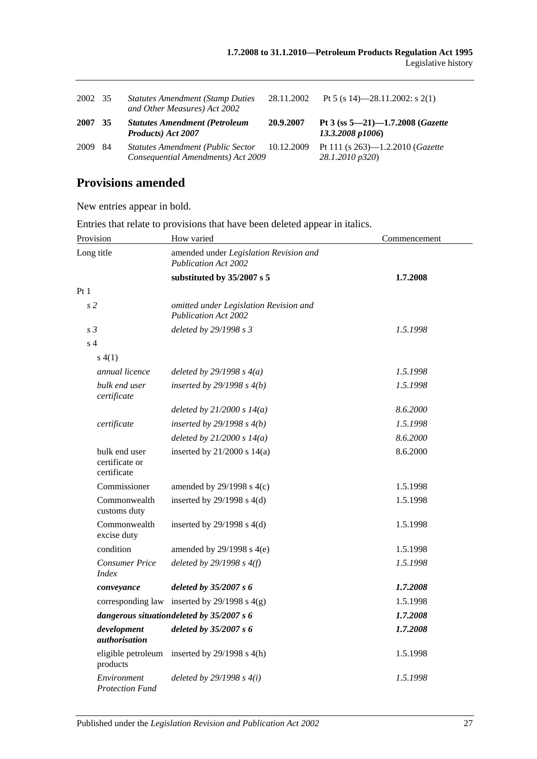| 2002 35 |     | <b>Statutes Amendment (Stamp Duties)</b><br>and Other Measures) Act 2002       | 28.11.2002 | Pt 5 (s 14)-28.11.2002: s 2(1)                                 |
|---------|-----|--------------------------------------------------------------------------------|------------|----------------------------------------------------------------|
| 2007    | 35  | <b>Statutes Amendment (Petroleum</b><br>Products) Act 2007                     | 20.9.2007  | Pt 3 (ss $5 - 21$ ) $-1.7.2008$ (Gazette<br>13.3.2008 p1006)   |
| 2009    | -84 | <b>Statutes Amendment (Public Sector</b><br>Consequential Amendments) Act 2009 | 10.12.2009 | Pt 111 (s $263$ )—1.2.2010 ( <i>Gazette</i><br>28.1.2010 p320) |

## **Provisions amended**

New entries appear in bold.

Entries that relate to provisions that have been deleted appear in italics.

| Provision                                      | How varied                                                            | Commencement |  |
|------------------------------------------------|-----------------------------------------------------------------------|--------------|--|
| Long title                                     | amended under Legislation Revision and<br><b>Publication Act 2002</b> |              |  |
|                                                | substituted by 35/2007 s 5                                            | 1.7.2008     |  |
| Pt1                                            |                                                                       |              |  |
| s <sub>2</sub>                                 | omitted under Legislation Revision and<br><b>Publication Act 2002</b> |              |  |
| s <sub>3</sub>                                 | deleted by 29/1998 s 3                                                | 1.5.1998     |  |
| s <sub>4</sub>                                 |                                                                       |              |  |
| s(4(1))                                        |                                                                       |              |  |
| annual licence                                 | deleted by $29/1998 s 4(a)$                                           | 1.5.1998     |  |
| bulk end user<br>certificate                   | inserted by $29/1998 s 4(b)$                                          | 1.5.1998     |  |
|                                                | deleted by $21/2000 s 14(a)$                                          | 8.6.2000     |  |
| certificate                                    | inserted by $29/1998 s 4(b)$                                          | 1.5.1998     |  |
|                                                | deleted by $21/2000 s 14(a)$                                          | 8.6.2000     |  |
| bulk end user<br>certificate or<br>certificate | inserted by $21/2000$ s $14(a)$                                       | 8.6.2000     |  |
| Commissioner                                   | amended by $29/1998$ s $4(c)$                                         | 1.5.1998     |  |
| Commonwealth<br>customs duty                   | inserted by $29/1998$ s $4(d)$                                        | 1.5.1998     |  |
| Commonwealth<br>excise duty                    | inserted by $29/1998$ s $4(d)$                                        | 1.5.1998     |  |
| condition                                      | amended by $29/1998$ s $4(e)$                                         | 1.5.1998     |  |
| <b>Consumer Price</b><br><i>Index</i>          | deleted by $29/1998 s 4(f)$                                           | 1.5.1998     |  |
| conveyance                                     | deleted by $35/2007 s$ 6                                              | 1.7.2008     |  |
|                                                | corresponding law inserted by $29/1998$ s $4(g)$                      | 1.5.1998     |  |
|                                                | dangerous situationdeleted by 35/2007 s 6                             | 1.7.2008     |  |
| development<br>authorisation                   | deleted by 35/2007 s 6                                                | 1.7.2008     |  |
| eligible petroleum<br>products                 | inserted by $29/1998$ s $4(h)$                                        | 1.5.1998     |  |
| Environment<br><b>Protection Fund</b>          | deleted by $29/1998 s 4(i)$                                           | 1.5.1998     |  |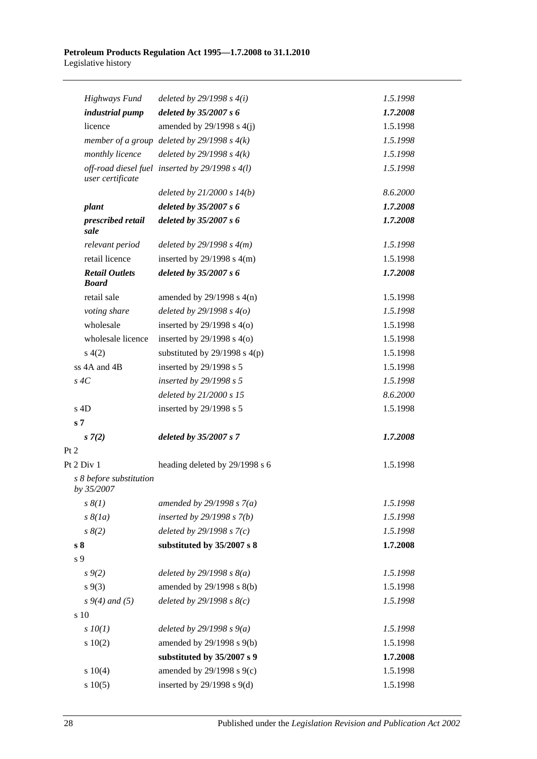| <b>Highways Fund</b>                  | deleted by $29/1998 s 4(i)$                     | 1.5.1998 |
|---------------------------------------|-------------------------------------------------|----------|
| industrial pump                       | deleted by $35/2007 s 6$                        | 1.7.2008 |
| licence                               | amended by $29/1998$ s $4(j)$                   | 1.5.1998 |
|                                       | member of a group deleted by $29/1998 s 4(k)$   | 1.5.1998 |
| monthly licence                       | deleted by $29/1998 s 4(k)$                     | 1.5.1998 |
| user certificate                      | off-road diesel fuel inserted by 29/1998 s 4(l) | 1.5.1998 |
|                                       | deleted by $21/2000 s 14(b)$                    | 8.6.2000 |
| plant                                 | deleted by 35/2007 s 6                          | 1.7.2008 |
| prescribed retail<br>sale             | deleted by 35/2007 s 6                          | 1.7.2008 |
| relevant period                       | deleted by $29/1998 s 4(m)$                     | 1.5.1998 |
| retail licence                        | inserted by $29/1998$ s $4(m)$                  | 1.5.1998 |
| <b>Retail Outlets</b><br><b>Board</b> | deleted by 35/2007 s 6                          | 1.7.2008 |
| retail sale                           | amended by $29/1998$ s $4(n)$                   | 1.5.1998 |
| voting share                          | deleted by $29/1998 s 4(o)$                     | 1.5.1998 |
| wholesale                             | inserted by $29/1998$ s $4(0)$                  | 1.5.1998 |
| wholesale licence                     | inserted by $29/1998$ s $4(0)$                  | 1.5.1998 |
| s(4(2)                                | substituted by $29/1998$ s $4(p)$               | 1.5.1998 |
| ss 4A and 4B                          | inserted by 29/1998 s 5                         | 1.5.1998 |
| $s \, 4C$                             | inserted by 29/1998 s 5                         | 1.5.1998 |
|                                       | deleted by 21/2000 s 15                         | 8.6.2000 |
| $s$ 4D                                | inserted by 29/1998 s 5                         | 1.5.1998 |
| s <sub>7</sub>                        |                                                 |          |
| $s \, 7(2)$                           | deleted by 35/2007 s 7                          | 1.7.2008 |
| Pt 2                                  |                                                 |          |
| Pt 2 Div 1                            | heading deleted by 29/1998 s 6                  | 1.5.1998 |
| s 8 before substitution<br>by 35/2007 |                                                 |          |
| $s \, \delta(1)$                      | amended by $29/1998 s 7(a)$                     | 1.5.1998 |
| $s \, \delta(la)$                     | inserted by $29/1998 s 7(b)$                    | 1.5.1998 |
| $s \, 8(2)$                           | deleted by $29/1998 s 7(c)$                     | 1.5.1998 |
| s <sub>8</sub>                        | substituted by 35/2007 s 8                      | 1.7.2008 |
| s 9                                   |                                                 |          |
| $s \, 9(2)$                           | deleted by $29/1998 s 8(a)$                     | 1.5.1998 |
| $s \, 9(3)$                           | amended by 29/1998 s 8(b)                       | 1.5.1998 |
| $s\,9(4)$ and (5)                     | deleted by $29/1998 s 8(c)$                     | 1.5.1998 |
| s 10                                  |                                                 |          |
| $s$ $10(1)$                           | deleted by $29/1998 s 9(a)$                     | 1.5.1998 |
| 10(2)                                 | amended by 29/1998 s 9(b)                       | 1.5.1998 |
|                                       | substituted by 35/2007 s 9                      | 1.7.2008 |
| 10(4)                                 | amended by 29/1998 s 9(c)                       | 1.5.1998 |
| s 10(5)                               | inserted by $29/1998$ s $9(d)$                  | 1.5.1998 |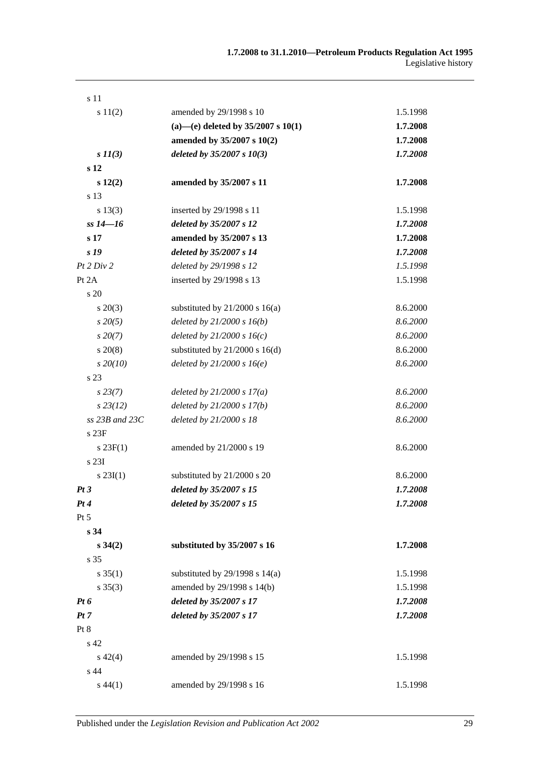| s 11                 |                                        |          |
|----------------------|----------------------------------------|----------|
| s 11(2)              | amended by 29/1998 s 10                | 1.5.1998 |
|                      | (a)-(e) deleted by $35/2007$ s $10(1)$ | 1.7.2008 |
|                      | amended by 35/2007 s 10(2)             | 1.7.2008 |
| $s \, I \, I \, (3)$ | deleted by $35/2007 s 10(3)$           | 1.7.2008 |
| s <sub>12</sub>      |                                        |          |
| s 12(2)              | amended by 35/2007 s 11                | 1.7.2008 |
| s 13                 |                                        |          |
| s 13(3)              | inserted by 29/1998 s 11               | 1.5.1998 |
| $ss 14 - 16$         | deleted by 35/2007 s 12                | 1.7.2008 |
| s <sub>17</sub>      | amended by 35/2007 s 13                | 1.7.2008 |
| s 19                 | deleted by 35/2007 s 14                | 1.7.2008 |
| Pt 2 Div 2           | deleted by 29/1998 s 12                | 1.5.1998 |
| Pt 2A                | inserted by 29/1998 s 13               | 1.5.1998 |
| s 20                 |                                        |          |
| $s \ 20(3)$          | substituted by $21/2000$ s $16(a)$     | 8.6.2000 |
| $s\,20(5)$           | deleted by $21/2000 s 16(b)$           | 8.6.2000 |
| $s\,20(7)$           | deleted by $21/2000 s 16(c)$           | 8.6.2000 |
| $s\,20(8)$           | substituted by $21/2000$ s $16(d)$     | 8.6.2000 |
| $s\,20(10)$          | deleted by $21/2000 s 16(e)$           | 8.6.2000 |
| s <sub>23</sub>      |                                        |          |
| $s\,23(7)$           | deleted by $21/2000 s 17(a)$           | 8.6.2000 |
| $s\,23(12)$          | deleted by $21/2000 s 17(b)$           | 8.6.2000 |
| $ss$ 23B and 23C     | deleted by 21/2000 s 18                | 8.6.2000 |
| s 23F                |                                        |          |
| $s \, 23F(1)$        | amended by 21/2000 s 19                | 8.6.2000 |
| s 23I                |                                        |          |
| $s \, 23I(1)$        | substituted by 21/2000 s 20            | 8.6.2000 |
| Pt3                  | deleted by 35/2007 s 15                | 1.7.2008 |
| Pt4                  | deleted by 35/2007 s 15                | 1.7.2008 |
| Pt 5                 |                                        |          |
| s <sub>34</sub>      |                                        |          |
| $s \, 34(2)$         | substituted by 35/2007 s 16            | 1.7.2008 |
| s 35                 |                                        |          |
| $s \, 35(1)$         | substituted by $29/1998$ s $14(a)$     | 1.5.1998 |
| $s \; 35(3)$         | amended by 29/1998 s 14(b)             | 1.5.1998 |
| $Pt\,6$              | deleted by 35/2007 s 17                | 1.7.2008 |
| Pt 7                 | deleted by 35/2007 s 17                | 1.7.2008 |
| Pt 8                 |                                        |          |
| s 42                 |                                        |          |
| $s\ 42(4)$           | amended by 29/1998 s 15                | 1.5.1998 |
| s 44                 |                                        |          |
| $s\,44(1)$           | amended by 29/1998 s 16                | 1.5.1998 |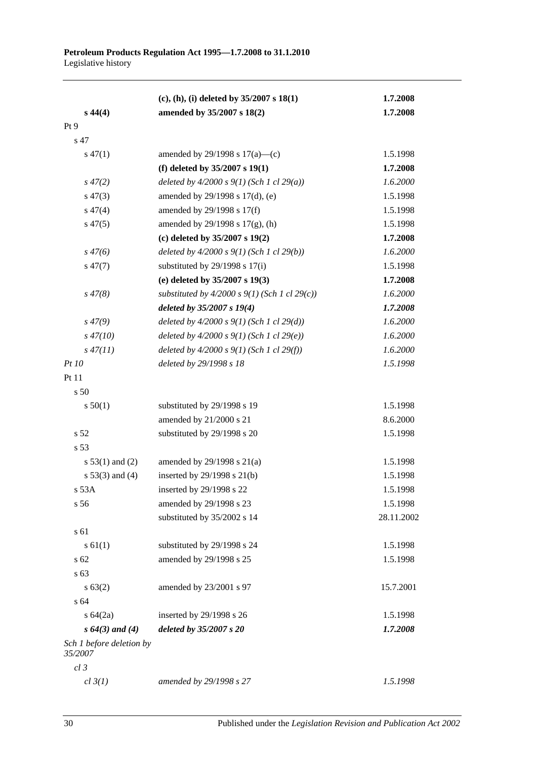|                                     | $(c)$ , (h), (i) deleted by 35/2007 s 18(1)     | 1.7.2008   |
|-------------------------------------|-------------------------------------------------|------------|
| $s\,44(4)$                          | amended by 35/2007 s 18(2)                      | 1.7.2008   |
| Pt 9                                |                                                 |            |
| s 47                                |                                                 |            |
| $s\,47(1)$                          | amended by 29/1998 s $17(a)$ —(c)               | 1.5.1998   |
|                                     | (f) deleted by $35/2007$ s $19(1)$              | 1.7.2008   |
| $s\,47(2)$                          | deleted by $4/2000 s 9(1)$ (Sch 1 cl 29(a))     | 1.6.2000   |
| $s\,47(3)$                          | amended by 29/1998 s 17(d), (e)                 | 1.5.1998   |
| $s\,47(4)$                          | amended by 29/1998 s 17(f)                      | 1.5.1998   |
| $s\,47(5)$                          | amended by $29/1998$ s $17(g)$ , (h)            | 1.5.1998   |
|                                     | (c) deleted by $35/2007$ s $19(2)$              | 1.7.2008   |
| $s\,47(6)$                          | deleted by $4/2000 s 9(1)$ (Sch 1 cl 29(b))     | 1.6.2000   |
| $s\,47(7)$                          | substituted by $29/1998$ s 17(i)                | 1.5.1998   |
|                                     | (e) deleted by 35/2007 s 19(3)                  | 1.7.2008   |
| $s\,47(8)$                          | substituted by $4/2000 s$ 9(1) (Sch 1 cl 29(c)) | 1.6.2000   |
|                                     | deleted by $35/2007 s 19(4)$                    | 1.7.2008   |
| $s\,47(9)$                          | deleted by $4/2000 s 9(1)$ (Sch 1 cl 29(d))     | 1.6.2000   |
| $s\,47(10)$                         | deleted by $4/2000 s 9(1)$ (Sch 1 cl 29(e))     | 1.6.2000   |
| $s\,47(11)$                         | deleted by $4/2000 s 9(1)$ (Sch 1 cl 29(f))     | 1.6.2000   |
| <i>Pt 10</i>                        | deleted by 29/1998 s 18                         | 1.5.1998   |
| Pt 11                               |                                                 |            |
| s <sub>50</sub>                     |                                                 |            |
| s 50(1)                             | substituted by 29/1998 s 19                     | 1.5.1998   |
|                                     | amended by 21/2000 s 21                         | 8.6.2000   |
| s <sub>52</sub>                     | substituted by 29/1998 s 20                     | 1.5.1998   |
| s 53                                |                                                 |            |
| $s 53(1)$ and (2)                   | amended by $29/1998$ s $21(a)$                  | 1.5.1998   |
| $s 53(3)$ and (4)                   | inserted by 29/1998 s 21(b)                     | 1.5.1998   |
| s 53A                               | inserted by 29/1998 s 22                        | 1.5.1998   |
| s 56                                | amended by 29/1998 s 23                         | 1.5.1998   |
|                                     | substituted by 35/2002 s 14                     | 28.11.2002 |
| s 61                                |                                                 |            |
| $s \, 61(1)$                        | substituted by 29/1998 s 24                     | 1.5.1998   |
| s 62                                | amended by 29/1998 s 25                         | 1.5.1998   |
| s 63                                |                                                 |            |
| s 63(2)                             | amended by 23/2001 s 97                         | 15.7.2001  |
| s 64                                |                                                 |            |
| $s \, 64(2a)$                       | inserted by 29/1998 s 26                        | 1.5.1998   |
| $s\,64(3)$ and (4)                  | deleted by 35/2007 s 20                         | 1.7.2008   |
| Sch 1 before deletion by<br>35/2007 |                                                 |            |
| $cl$ 3                              |                                                 |            |
| cl 3(1)                             | amended by 29/1998 s 27                         | 1.5.1998   |